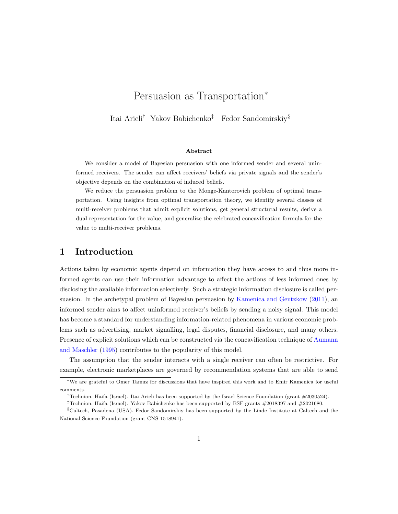# Persuasion as Transportation<sup>∗</sup>

Itai Arieli† Yakov Babichenko‡ Fedor Sandomirskiy§

#### Abstract

We consider a model of Bayesian persuasion with one informed sender and several uninformed receivers. The sender can affect receivers' beliefs via private signals and the sender's objective depends on the combination of induced beliefs.

We reduce the persuasion problem to the Monge-Kantorovich problem of optimal transportation. Using insights from optimal transportation theory, we identify several classes of multi-receiver problems that admit explicit solutions, get general structural results, derive a dual representation for the value, and generalize the celebrated concavification formula for the value to multi-receiver problems.

### 1 Introduction

Actions taken by economic agents depend on information they have access to and thus more informed agents can use their information advantage to affect the actions of less informed ones by disclosing the available information selectively. Such a strategic information disclosure is called persuasion. In the archetypal problem of Bayesian persuasion by [Kamenica and Gentzkow](#page-19-0) [\(2011\)](#page-19-0), an informed sender aims to affect uninformed receiver's beliefs by sending a noisy signal. This model has become a standard for understanding information-related phenomena in various economic problems such as advertising, market signalling, legal disputes, financial disclosure, and many others. Presence of explicit solutions which can be constructed via the concavification technique of [Aumann](#page-17-0) [and Maschler](#page-17-0) [\(1995\)](#page-17-0) contributes to the popularity of this model.

The assumption that the sender interacts with a single receiver can often be restrictive. For example, electronic marketplaces are governed by recommendation systems that are able to send

<sup>∗</sup>We are grateful to Omer Tamuz for discussions that have inspired this work and to Emir Kamenica for useful comments.

<sup>†</sup>Technion, Haifa (Israel). Itai Arieli has been supported by the Israel Science Foundation (grant #2030524).

 $^\ddag$  Technion, Haifa (Israel). Yakov Babichenko has been supported by BSF grants #2018397 and #2021680.

<sup>§</sup>Caltech, Pasadena (USA). Fedor Sandomirskiy has been supported by the Linde Institute at Caltech and the National Science Foundation (grant CNS 1518941).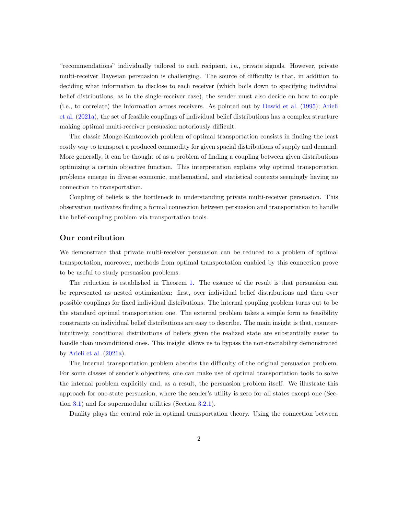"recommendations" individually tailored to each recipient, i.e., private signals. However, private multi-receiver Bayesian persuasion is challenging. The source of difficulty is that, in addition to deciding what information to disclose to each receiver (which boils down to specifying individual belief distributions, as in the single-receiver case), the sender must also decide on how to couple (i.e., to correlate) the information across receivers. As pointed out by [Dawid et al.](#page-18-0) [\(1995\)](#page-18-0); [Arieli](#page-17-1) [et al.](#page-17-1) [\(2021a\)](#page-17-1), the set of feasible couplings of individual belief distributions has a complex structure making optimal multi-receiver persuasion notoriously difficult.

The classic Monge-Kantorovich problem of optimal transportation consists in finding the least costly way to transport a produced commodity for given spacial distributions of supply and demand. More generally, it can be thought of as a problem of finding a coupling between given distributions optimizing a certain objective function. This interpretation explains why optimal transportation problems emerge in diverse economic, mathematical, and statistical contexts seemingly having no connection to transportation.

Coupling of beliefs is the bottleneck in understanding private multi-receiver persuasion. This observation motivates finding a formal connection between persuasion and transportation to handle the belief-coupling problem via transportation tools.

#### Our contribution

We demonstrate that private multi-receiver persuasion can be reduced to a problem of optimal transportation, moreover, methods from optimal transportation enabled by this connection prove to be useful to study persuasion problems.

The reduction is established in Theorem [1.](#page-5-0) The essence of the result is that persuasion can be represented as nested optimization: first, over individual belief distributions and then over possible couplings for fixed individual distributions. The internal coupling problem turns out to be the standard optimal transportation one. The external problem takes a simple form as feasibility constraints on individual belief distributions are easy to describe. The main insight is that, counterintuitively, conditional distributions of beliefs given the realized state are substantially easier to handle than unconditional ones. This insight allows us to bypass the non-tractability demonstrated by [Arieli et al.](#page-17-1) [\(2021a\)](#page-17-1).

The internal transportation problem absorbs the difficulty of the original persuasion problem. For some classes of sender's objectives, one can make use of optimal transportation tools to solve the internal problem explicitly and, as a result, the persuasion problem itself. We illustrate this approach for one-state persuasion, where the sender's utility is zero for all states except one (Section [3.1\)](#page-7-0) and for supermodular utilities (Section [3.2.1\)](#page-10-0).

Duality plays the central role in optimal transportation theory. Using the connection between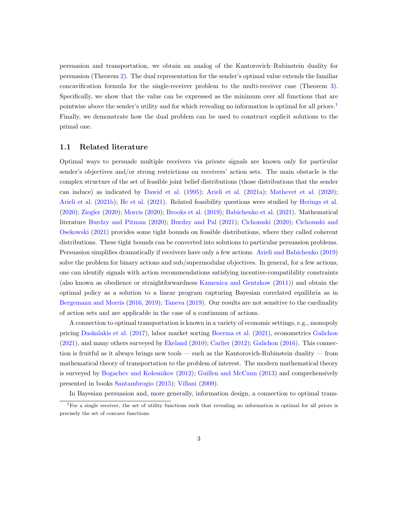persuasion and transportation, we obtain an analog of the Kantorovich–Rubinstein duality for persuasion (Theorem [2\)](#page-11-0). The dual representation for the sender's optimal value extends the familiar concavification formula for the single-receiver problem to the multi-receiver case (Theorem [3\)](#page-14-0). Specifically, we show that the value can be expressed as the minimum over all functions that are pointwise above the sender's utility and for which revealing no information is optimal for all priors.<sup>[1](#page-2-0)</sup> Finally, we demonstrate how the dual problem can be used to construct explicit solutions to the primal one.

#### 1.1 Related literature

Optimal ways to persuade multiple receivers via private signals are known only for particular sender's objectives and/or strong restrictions on receivers' action sets. The main obstacle is the complex structure of the set of feasible joint belief distributions (those distributions that the sender can induce) as indicated by [Dawid et al.](#page-18-0) [\(1995\)](#page-18-0); [Arieli et al.](#page-17-1) [\(2021a\)](#page-17-1); [Mathevet et al.](#page-19-1) [\(2020\)](#page-19-1); [Arieli et al.](#page-17-2) [\(2021b\)](#page-17-2); [He et al.](#page-19-2) [\(2021\)](#page-19-2). Related feasibility questions were studied by [Herings et al.](#page-19-3) [\(2020\)](#page-19-3); [Ziegler](#page-20-0) [\(2020\)](#page-20-0); [Morris](#page-19-4) [\(2020\)](#page-19-4); [Brooks et al.](#page-18-1) [\(2019\)](#page-18-1); [Babichenko et al.](#page-17-3) [\(2021\)](#page-17-3). Mathematical literature [Burdzy and Pitman](#page-18-2) [\(2020\)](#page-18-2); [Burdzy and Pal](#page-18-3) [\(2021\)](#page-18-3); [Cichomski](#page-18-4) [\(2020\)](#page-18-4); [Cichomski and](#page-18-5) [Osekowski](#page-18-5) [\(2021\)](#page-18-5) provides some tight bounds on feasible distributions, where they called coherent distributions. These tight bounds can be converted into solutions to particular persuasion problems. Persuasion simplifies dramatically if receivers have only a few actions. [Arieli and Babichenko](#page-17-4) [\(2019\)](#page-17-4) solve the problem for binary actions and sub/supermodular objectives. In general, for a few actions, one can identify signals with action recommendations satisfying incentive-compatibility constraints (also known as obedience or straightforwardness [Kamenica and Gentzkow](#page-19-0) [\(2011\)](#page-19-0)) and obtain the optimal policy as a solution to a linear program capturing Bayesian correlated equilibria as in [Bergemann and Morris](#page-17-5) [\(2016,](#page-17-5) [2019\)](#page-17-6); [Taneva](#page-20-1) [\(2019\)](#page-20-1). Our results are not sensitive to the cardinality of action sets and are applicable in the case of a continuum of actions.

A connection to optimal transportation is known in a variety of economic settings, e.g., monopoly pricing [Daskalakis et al.](#page-18-6) [\(2017\)](#page-18-6), labor market sorting [Boerma et al.](#page-18-7) [\(2021\)](#page-18-7), econometrics [Galichon](#page-19-5) [\(2021\)](#page-19-5), and many others surveyed by [Ekeland](#page-19-6) [\(2010\)](#page-19-6); [Carlier](#page-18-8) [\(2012\)](#page-18-8); [Galichon](#page-19-7) [\(2016\)](#page-19-7). This connection is fruitful as it always brings new tools — such as the Kantorovich-Rubinstein duality — from mathematical theory of transportation to the problem of interest. The modern mathematical theory is surveyed by [Bogachev and Kolesnikov](#page-18-9) [\(2012\)](#page-18-9); [Guillen and McCann](#page-19-8) [\(2013\)](#page-19-8) and comprehensively presented in books [Santambrogio](#page-20-2) [\(2015\)](#page-20-2); [Villani](#page-20-3) [\(2009\)](#page-20-3).

<span id="page-2-0"></span>In Bayesian persuasion and, more generally, information design, a connection to optimal trans-

 $1$ For a single receiver, the set of utility functions such that revealing no information is optimal for all priors is precisely the set of concave functions.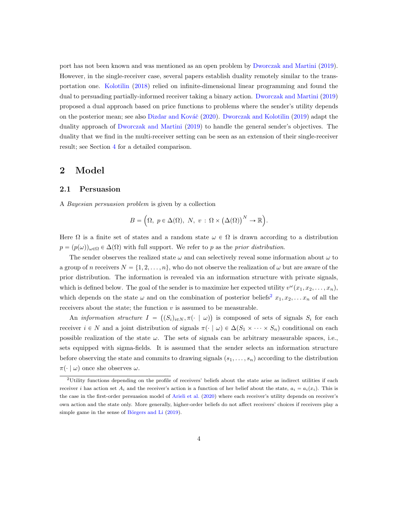port has not been known and was mentioned as an open problem by [Dworczak and Martini](#page-18-10) [\(2019\)](#page-18-10). However, in the single-receiver case, several papers establish duality remotely similar to the transportation one. [Kolotilin](#page-19-9) [\(2018\)](#page-19-9) relied on infinite-dimensional linear programming and found the dual to persuading partially-informed receiver taking a binary action. [Dworczak and Martini](#page-18-10) [\(2019\)](#page-18-10) proposed a dual approach based on price functions to problems where the sender's utility depends on the posterior mean; see also Dizdar and Kováč [\(2020\)](#page-18-11). [Dworczak and Kolotilin](#page-18-12) [\(2019\)](#page-18-12) adapt the duality approach of [Dworczak and Martini](#page-18-10) [\(2019\)](#page-18-10) to handle the general sender's objectives. The duality that we find in the multi-receiver setting can be seen as an extension of their single-receiver result; see Section [4](#page-11-1) for a detailed comparison.

### 2 Model

#### 2.1 Persuasion

A Bayesian persuasion problem is given by a collection

$$
B = \left(\Omega, \ p \in \Delta(\Omega), \ N, \ v : \Omega \times (\Delta(\Omega))^N \to \mathbb{R}\right).
$$

Here  $\Omega$  is a finite set of states and a random state  $\omega \in \Omega$  is drawn according to a distribution  $p = (p(\omega))_{\omega \in \Omega} \in \Delta(\Omega)$  with full support. We refer to p as the prior distribution.

The sender observes the realized state  $\omega$  and can selectively reveal some information about  $\omega$  to a group of n receivers  $N = \{1, 2, ..., n\}$ , who do not observe the realization of  $\omega$  but are aware of the prior distribution. The information is revealed via an information structure with private signals, which is defined below. The goal of the sender is to maximize her expected utility  $v^{\omega}(x_1, x_2, \ldots, x_n)$ , which depends on the state  $\omega$  and on the combination of posterior beliefs<sup>[2](#page-3-0)</sup>  $x_1, x_2, \ldots x_n$  of all the receivers about the state; the function  $v$  is assumed to be measurable.

An *information structure*  $I = ((S_i)_{i \in N}, \pi(\cdot \mid \omega))$  is composed of sets of signals  $S_i$  for each receiver  $i \in N$  and a joint distribution of signals  $\pi(\cdot \mid \omega) \in \Delta(S_1 \times \cdots \times S_n)$  conditional on each possible realization of the state  $\omega$ . The sets of signals can be arbitrary measurable spaces, i.e., sets equipped with sigma-fields. It is assumed that the sender selects an information structure before observing the state and commits to drawing signals  $(s_1, \ldots, s_n)$  according to the distribution  $\pi(\cdot | \omega)$  once she observes  $\omega$ .

<span id="page-3-0"></span><sup>2</sup>Utility functions depending on the profile of receivers' beliefs about the state arise as indirect utilities if each receiver i has action set  $A_i$  and the receiver's action is a function of her belief about the state,  $a_i = a_i(x_i)$ . This is the case in the first-order persuasion model of [Arieli et al.](#page-17-7) [\(2020\)](#page-17-7) where each receiver's utility depends on receiver's own action and the state only. More generally, higher-order beliefs do not affect receivers' choices if receivers play a simple game in the sense of Börgers and Li  $(2019)$ .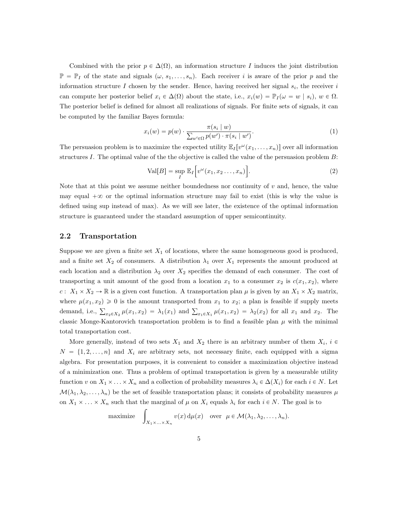Combined with the prior  $p \in \Delta(\Omega)$ , an information structure I induces the joint distribution  $\mathbb{P} = \mathbb{P}_I$  of the state and signals  $(\omega, s_1, \ldots, s_n)$ . Each receiver i is aware of the prior p and the information structure I chosen by the sender. Hence, having received her signal  $s_i$ , the receiver i can compute her posterior belief  $x_i \in \Delta(\Omega)$  about the state, i.e.,  $x_i(w) = \mathbb{P}_I(\omega = w | s_i)$ ,  $w \in \Omega$ . The posterior belief is defined for almost all realizations of signals. For finite sets of signals, it can be computed by the familiar Bayes formula:

$$
x_i(w) = p(w) \cdot \frac{\pi(s_i \mid w)}{\sum_{w' \in \Omega} p(w') \cdot \pi(s_i \mid w')}.
$$
\n
$$
(1)
$$

The persuasion problem is to maximize the expected utility  $\mathbb{E}_I[v^{\omega}(x_1,\ldots,x_n)]$  over all information structures I. The optimal value of the the objective is called the value of the persuasion problem  $B$ : " ı

<span id="page-4-0"></span>
$$
\text{Val}[B] = \sup_{I} \mathbb{E}_{I} \Big[ v^{\omega}(x_1, x_2 \dots, x_n) \Big]. \tag{2}
$$

Note that at this point we assume neither boundedness nor continuity of  $v$  and, hence, the value may equal  $+\infty$  or the optimal information structure may fail to exist (this is why the value is defined using sup instead of max). As we will see later, the existence of the optimal information structure is guaranteed under the standard assumption of upper semicontinuity.

### 2.2 Transportation

Suppose we are given a finite set  $X_1$  of locations, where the same homogeneous good is produced, and a finite set  $X_2$  of consumers. A distribution  $\lambda_1$  over  $X_1$  represents the amount produced at each location and a distribution  $\lambda_2$  over  $X_2$  specifies the demand of each consumer. The cost of transporting a unit amount of the good from a location  $x_1$  to a consumer  $x_2$  is  $c(x_1, x_2)$ , where  $c: X_1 \times X_2 \to \mathbb{R}$  is a given cost function. A transportation plan  $\mu$  is given by an  $X_1 \times X_2$  matrix, where  $\mu(x_1, x_2) \geq 0$  is the amount transported from  $x_1$  to  $x_2$ ; a plan is feasible if supply meets demand, i.e.,  $\sum_{x_2 \in X_2} \mu(x_1, x_2) = \lambda_1(x_1)$  and  $\sum_{x_1 \in X_1} \mu(x_1, x_2) = \lambda_2(x_2)$  for all  $x_1$  and  $x_2$ . The classic Monge-Kantorovich transportation problem is to find a feasible plan  $\mu$  with the minimal total transportation cost.

More generally, instead of two sets  $X_1$  and  $X_2$  there is an arbitrary number of them  $X_i$ ,  $i \in$  $N = \{1, 2, \ldots, n\}$  and  $X_i$  are arbitrary sets, not necessary finite, each equipped with a sigma algebra. For presentation purposes, it is convenient to consider a maximization objective instead of a minimization one. Thus a problem of optimal transportation is given by a measurable utility function v on  $X_1 \times \ldots \times X_n$  and a collection of probability measures  $\lambda_i \in \Delta(X_i)$  for each  $i \in N$ . Let  $\mathcal{M}(\lambda_1, \lambda_2, \ldots, \lambda_n)$  be the set of feasible transportation plans; it consists of probability measures  $\mu$ on  $X_1 \times \ldots \times X_n$  such that the marginal of  $\mu$  on  $X_i$  equals  $\lambda_i$  for each  $i \in N$ . The goal is to<br>maximize  $\int v(x) d\mu(x)$  over  $\mu \in \mathcal{M}(\lambda_1, \lambda_2, \ldots, \lambda_n)$ .

maximize 
$$
\int_{X_1 \times \ldots \times X_n} v(x) d\mu(x)
$$
 over  $\mu \in \mathcal{M}(\lambda_1, \lambda_2, \ldots, \lambda_n)$ .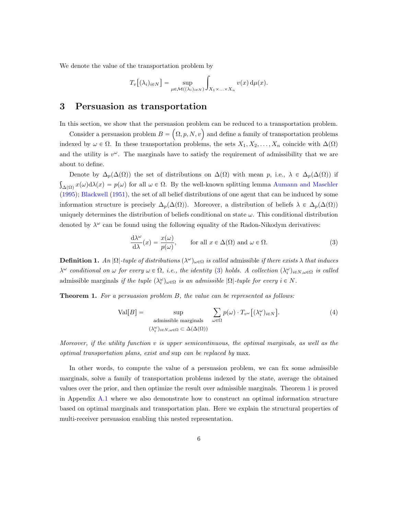We denote the value of the transportation problem by

$$
T_v[(\lambda_i)_{i \in N}] = \sup_{\mu \in \mathcal{M}((\lambda_i)_{i \in N})} \int_{X_1 \times ... \times X_n} v(x) d\mu(x).
$$

# <span id="page-5-3"></span>3 Persuasion as transportation

In this section, we show that the persuasion problem can be reduced to a transportation problem.

this section, we show that the persuasion problem can be reduced to a transportation problem.<br>Consider a persuasion problem  $B = (\Omega, p, N, v)$  and define a family of transportation problems indexed by  $\omega \in \Omega$ . In these transportation problems, the sets  $X_1, X_2, \ldots, X_n$  coincide with  $\Delta(\Omega)$ and the utility is  $v^{\omega}$ . The marginals have to satisfy the requirement of admissibility that we are about to define.

Denote by  $\Delta_p(\Delta(\Omega))$  the set of distributions on  $\Delta(\Omega)$  with mean p, i.e.,  $\lambda \in \Delta_p(\Delta(\Omega))$  if  $\Delta(\Omega)$   $x(\omega)d\lambda(x) = p(\omega)$  for all  $\omega \in \Omega$ . By the well-known splitting lemma [Aumann and Maschler](#page-17-0) [\(1995\)](#page-17-0); [Blackwell](#page-18-14) [\(1951\)](#page-18-14), the set of all belief distributions of one agent that can be induced by some information structure is precisely  $\Delta_p(\Delta(\Omega))$ . Moreover, a distribution of beliefs  $\lambda \in \Delta_p(\Delta(\Omega))$ uniquely determines the distribution of beliefs conditional on state  $\omega$ . This conditional distribution denoted by  $\lambda^{\omega}$  can be found using the following equality of the Radon-Nikodym derivatives:

<span id="page-5-1"></span>
$$
\frac{d\lambda^{\omega}}{d\lambda}(x) = \frac{x(\omega)}{p(\omega)}, \quad \text{for all } x \in \Delta(\Omega) \text{ and } \omega \in \Omega.
$$
 (3)

**Definition 1.** An  $|\Omega|$ -tuple of distributions  $(\lambda^{\omega})_{\omega \in \Omega}$  is called admissible if there exists  $\lambda$  that induces  $\lambda^{\omega}$  conditional on  $\omega$  for every  $\omega \in \Omega$ , i.e., the identity [\(3\)](#page-5-1) holds. A collection  $(\lambda_i^{\omega})_{i \in N, \omega \in \Omega}$  is called admissible marginals if the tuple  $(\lambda_i^{\omega})_{\omega \in \Omega}$  is an admissible  $|\Omega|$ -tuple for every  $i \in N$ .

<span id="page-5-0"></span>**Theorem 1.** For a persuasion problem B, the value can be represented as follows:

<span id="page-5-2"></span>
$$
\text{Val}[B] = \sup_{\substack{\text{admissible marginals} \\ (\lambda_i^{\omega})_{i \in N, \omega \in \Omega} \subset \Delta(\Delta(\Omega))}} \sum_{\omega \in \Omega} p(\omega) \cdot T_{v^{\omega}} \big[ (\lambda_i^{\omega})_{i \in N} \big]. \tag{4}
$$

Moreover, if the utility function  $v$  is upper semicontinuous, the optimal marginals, as well as the optimal transportation plans, exist and sup can be replaced by max.

In other words, to compute the value of a persuasion problem, we can fix some admissible marginals, solve a family of transportation problems indexed by the state, average the obtained values over the prior, and then optimize the result over admissible marginals. Theorem [1](#page-5-0) is proved in Appendix [A.1](#page-20-4) where we also demonstrate how to construct an optimal information structure based on optimal marginals and transportation plan. Here we explain the structural properties of multi-receiver persuasion enabling this nested representation.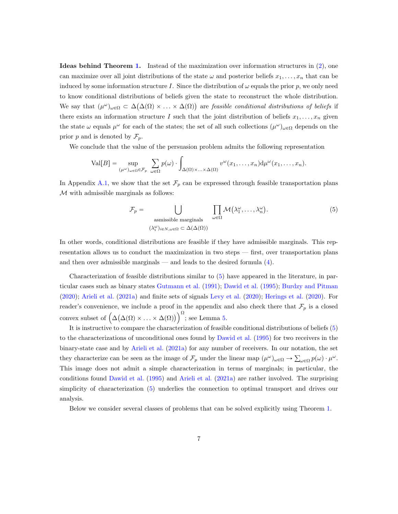Ideas behind Theorem [1.](#page-5-0) Instead of the maximization over information structures in [\(2\)](#page-4-0), one can maximize over all joint distributions of the state  $\omega$  and posterior beliefs  $x_1, \ldots, x_n$  that can be induced by some information structure I. Since the distribution of  $\omega$  equals the prior p, we only need to know conditional distributions of beliefs given the state to reconstruct the whole distribution. ` ˘ We say that  $(\mu^{\omega})_{\omega \in \Omega} \subset \Delta(\Delta(\Omega) \times \ldots \times \Delta(\Omega))$  are *feasible conditional distributions of beliefs* if there exists an information structure I such that the joint distribution of beliefs  $x_1, \ldots, x_n$  given the state  $\omega$  equals  $\mu^{\omega}$  for each of the states; the set of all such collections  $(\mu^{\omega})_{\omega \in \Omega}$  depends on the prior p and is denoted by  $\mathcal{F}_p$ .

We conclude that the value of the persuasion problem admits the following representation

$$
\text{Val}[B] = \sup_{(\mu^{\omega})_{\omega \in \Omega} \in \mathcal{F}_p} \sum_{\omega \in \Omega} p(\omega) \cdot \int_{\Delta(\Omega) \times ... \times \Delta(\Omega)} v^{\omega}(x_1, ..., x_n) d\mu^{\omega}(x_1, ..., x_n).
$$

In Appendix [A.1,](#page-20-4) we show that the set  $\mathcal{F}_p$  can be expressed through feasible transportation plans  $M$  with admissible marginals as follows:

<span id="page-6-0"></span>
$$
\mathcal{F}_p = \bigcup_{\substack{\text{assmissible marginals} \\ (\lambda_i^{\omega})_{i \in N, \omega \in \Omega} \subset \Delta(\Delta(\Omega))}} \prod_{\omega \in \Omega} \mathcal{M}(\lambda_1^{\omega}, \dots, \lambda_n^{\omega}). \tag{5}
$$

In other words, conditional distributions are feasible if they have admissible marginals. This representation allows us to conduct the maximization in two steps — first, over transportation plans and then over admissible marginals — and leads to the desired formula [\(4\)](#page-5-2).

Characterization of feasible distributions similar to [\(5\)](#page-6-0) have appeared in the literature, in particular cases such as binary states [Gutmann et al.](#page-19-10) [\(1991\)](#page-19-10); [Dawid et al.](#page-18-0) [\(1995\)](#page-18-0); [Burdzy and Pitman](#page-18-2) [\(2020\)](#page-18-2); [Arieli et al.](#page-17-1) [\(2021a\)](#page-17-1) and finite sets of signals [Levy et al.](#page-19-11) [\(2020\)](#page-19-11); [Herings et al.](#page-19-3) [\(2020\)](#page-19-3). For reader's convenience, we include a proof in the appendix and also check there that  $\mathcal{F}_p$  is a closed reader's convenience<br>convex subset of  $\big(\Delta$ `  $\Delta(\Omega) \times \ldots \times \Delta(\Omega)$  $\frac{m}{\sqrt{2}}$ ; see Lemma [5.](#page-20-5)

It is instructive to compare the characterization of feasible conditional distributions of beliefs [\(5\)](#page-6-0) to the characterizations of unconditional ones found by [Dawid et al.](#page-18-0) [\(1995\)](#page-18-0) for two receivers in the binary-state case and by [Arieli et al.](#page-17-1) [\(2021a\)](#page-17-1) for any number of receivers. In our notation, the set they characterize can be seen as the image of  $\mathcal{F}_p$  under the linear map  $(\mu^{\omega})_{\omega \in \Omega} \to \sum_{\omega \in \Omega} p(\omega) \cdot \mu^{\omega}$ . This image does not admit a simple characterization in terms of marginals; in particular, the conditions found [Dawid et al.](#page-18-0) [\(1995\)](#page-18-0) and [Arieli et al.](#page-17-1) [\(2021a\)](#page-17-1) are rather involved. The surprising simplicity of characterization [\(5\)](#page-6-0) underlies the connection to optimal transport and drives our analysis.

Below we consider several classes of problems that can be solved explicitly using Theorem [1.](#page-5-0)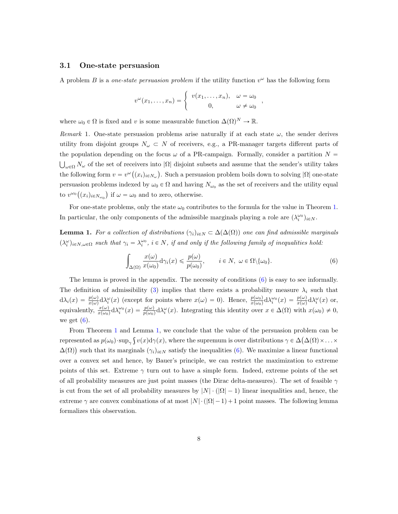#### <span id="page-7-0"></span>3.1 One-state persuasion

A problem B is a *one-state persuasion problem* if the utility function  $v^{\omega}$  has the following form

$$
v^{\omega}(x_1,\ldots,x_n) = \begin{cases} v(x_1,\ldots,x_n), & \omega = \omega_0 \\ 0, & \omega \neq \omega_0 \end{cases}
$$

where  $\omega_0 \in \Omega$  is fixed and v is some measurable function  $\Delta(\Omega)^N \to \mathbb{R}$ .

Remark 1. One-state persuasion problems arise naturally if at each state  $\omega$ , the sender derives utility from disjoint groups  $N_{\omega} \subset N$  of receivers, e.g., a PR-manager targets different parts of the population depending on the focus  $\omega$  of a PR-campaign. Formally, consider a partition  $N =$  $\omega \in \Omega$  N<sub>ω</sub> of the set of receivers into  $|\Omega|$  disjoint subsets and assume that the sender's utility takes the following form  $v = v^{\omega}((x_i)_{i \in N_{\omega}})$ . Such a persuasion problem boils down to solving  $|\Omega|$  one-state persuasion problems indexed by  $\omega_0 \in \Omega$  and having  $N_{\omega_0}$  as the set of receivers and the utility equal to  $v^{\omega_0}((x_i)_{i \in N_{\omega_0}})$  if  $\omega = \omega_0$  and to zero, otherwise.

For one-state problems, only the state  $\omega_0$  contributes to the formula for the value in Theorem [1.](#page-5-0) In particular, the only components of the admissible marginals playing a role are  $(\lambda_i^{\omega_0})_{i \in N}$ .

<span id="page-7-2"></span>**Lemma 1.** For a collection of distributions  $(\gamma_i)_{i\in\mathbb{N}}\subset\Delta(\Delta(\Omega))$  one can find admissible marginals  $(\lambda_i^{\omega})_{i \in N, \omega \in \Omega}$  such that  $\gamma_i = \lambda_i^{\omega_0}$ ,  $i \in N$ , if and only if the following family of inequalities hold:

$$
\int_{\Delta(\Omega)} \frac{x(\omega)}{x(\omega_0)} d\gamma_i(x) \leq \frac{p(\omega)}{p(\omega_0)}, \qquad i \in N, \ \omega \in \Omega \setminus \{\omega_0\}.
$$
 (6)

<span id="page-7-1"></span>,

The lemma is proved in the appendix. The necessity of conditions [\(6\)](#page-7-1) is easy to see informally. The definition of admissibility [\(3\)](#page-5-1) implies that there exists a probability measure  $\lambda_i$  such that  $d\lambda_i(x) = \frac{p(\omega)}{x(\omega)} d\lambda_i^{\omega}(x)$  (except for points where  $x(\omega) = 0$ ). Hence,  $\frac{p(\omega_0)}{x(\omega_0)} d\lambda_i^{\omega}(x) = \frac{p(\omega)}{x(\omega)} d\lambda_i^{\omega}(x)$  or, equivalently,  $\frac{x(\omega)}{x(\omega_0)} d\lambda_i^{\omega_0}(x) = \frac{p(\omega)}{p(\omega_0)} d\lambda_i^{\omega}(x)$ . Integrating this identity over  $x \in \Delta(\Omega)$  with  $x(\omega_0) \neq 0$ , we get  $(6)$ .

From Theorem [1](#page-5-0) and Lemma [1,](#page-7-2) we conclude that the value of the persuasion problem can be represented as  $p(\omega_0) \cdot \sup_{\gamma} \int v(x) d\gamma(x)$ , where the supremum is over distributions  $\gamma \in \Delta(\Delta(\Omega) \times ... \times$  $\Delta(\Omega)$ ) such that its marginals  $(\gamma_i)_{i\in\mathbb{N}}$  satisfy the inequalities [\(6\)](#page-7-1). We maximize a linear functional over a convex set and hence, by Bauer's principle, we can restrict the maximization to extreme points of this set. Extreme  $\gamma$  turn out to have a simple form. Indeed, extreme points of the set of all probability measures are just point masses (the Dirac delta-measures). The set of feasible  $\gamma$ is cut from the set of all probability measures by  $|N| \cdot (|\Omega| - 1)$  linear inequalities and, hence, the extreme  $\gamma$  are convex combinations of at most  $|N| \cdot (|\Omega| - 1) + 1$  point masses. The following lemma formalizes this observation.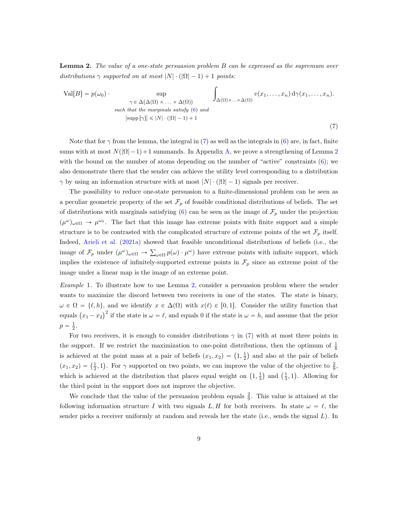<span id="page-8-1"></span>**Lemma 2.** The value of a one-state persuasion problem B can be expressed as the supremum over distributions  $\gamma$  supported on at most  $|N| \cdot (|\Omega| - 1) + 1$  points:

<span id="page-8-0"></span>
$$
\text{Val}[B] = p(\omega_0) \cdot \sup_{\gamma \in \Delta(\Delta(\Omega) \times ... \times \Delta(\Omega))} \int_{\Delta(\Omega) \times ... \times \Delta(\Omega)} v(x_1, ..., x_n) \, d\gamma(x_1, ..., x_n).
$$
\n
$$
\text{such that the marginals satisfy (6) and } \sup_{|\text{supp} [\gamma]| \leq |N| \cdot (|\Omega| - 1) + 1} \tag{7}
$$

Note that for  $\gamma$  from the lemma, the integral in [\(7\)](#page-8-0) as well as the integrals in [\(6\)](#page-7-1) are, in fact, finite sums with at most  $N(|\Omega|-1)+1$  summands. In Appendix [A,](#page-20-6) we prove a strengthening of Lemma [2](#page-8-1) with the bound on the number of atoms depending on the number of "active" constraints [\(6\)](#page-7-1); we also demonstrate there that the sender can achieve the utility level corresponding to a distribution  $\gamma$  by using an information structure with at most  $|N| \cdot (|\Omega|-1)$  signals per receiver.

The possibility to reduce one-state persuasion to a finite-dimensional problem can be seen as a peculiar geometric property of the set  $\mathcal{F}_p$  of feasible conditional distributions of beliefs. The set of distributions with marginals satisfying [\(6\)](#page-7-1) can be seen as the image of  $\mathcal{F}_p$  under the projection  $(\mu^{\omega})_{\omega \in \Omega} \to \mu^{\omega_0}$ . The fact that this image has extreme points with finite support and a simple structure is to be contrasted with the complicated structure of extreme points of the set  $\mathcal{F}_p$  itself. Indeed, [Arieli et al.](#page-17-1) [\(2021a\)](#page-17-1) showed that feasible unconditional distributions of beliefs (i.e., the image of  $\mathcal{F}_p$  under  $(\mu^{\omega})_{\omega \in \Omega} \to \sum_{\omega \in \Omega} p(\omega) \cdot \mu^{\omega}$  have extreme points with infinite support, which implies the existence of infinitely-supported extreme points in  $\mathcal{F}_p$  since an extreme point of the image under a linear map is the image of an extreme point.

<span id="page-8-2"></span>Example 1. To illustrate how to use Lemma [2,](#page-8-1) consider a persuasion problem where the sender wants to maximize the discord between two receivers in one of the states. The state is binary,  $\omega \in \Omega = \{\ell, h\}$ , and we identify  $x \in \Delta(\Omega)$  with  $x(\ell) \in [0, 1]$ . Consider the utility function that equals  $(x_1 - x_2)^2$  if the state is  $\omega = \ell$ , and equals 0 if the state is  $\omega = h$ , and assume that the prior  $p = \frac{1}{2}$ .

For two receivers, it is enough to consider distributions  $\gamma$  in [\(7\)](#page-8-0) with at most three points in the support. If we restrict the maximization to one-point distributions, then the optimum of  $\frac{1}{8}$ is achieved at the point mass at a pair of beliefs  $(x_1, x_2) = (1, \frac{1}{2})$  and also at the pair of beliefs is a<br>chosen at the point mass at a pair of benefits  $(x_1, x_2) - (1, \frac{1}{2})$  and also at the pair of benefits  $(x_1, x_2) = (\frac{1}{2}, 1)$ . For  $\gamma$  supported on two points, we can improve the value of the objective to  $\frac{2}{9}$ , which is achieved at the distribution that places equal weight on  $(1, \frac{1}{3})$  and  $(\frac{1}{3}, 1)$ . Allowing for the third point in the support does not improve the objective.

We conclude that the value of the persuasion problem equals  $\frac{2}{9}$ . This value is attained at the following information structure I with two signals L, H for both receivers. In state  $\omega = \ell$ , the sender picks a receiver uniformly at random and reveals her the state (i.e., sends the signal  $L$ ). In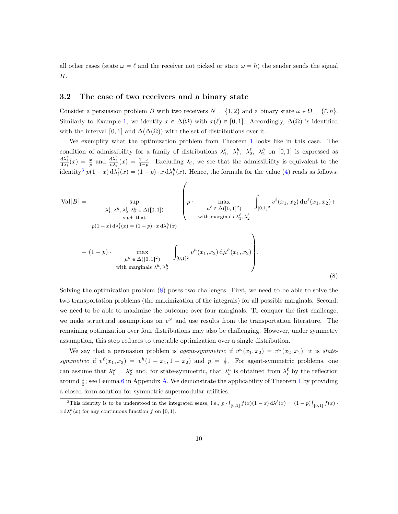all other cases (state  $\omega = \ell$  and the receiver not picked or state  $\omega = h$ ) the sender sends the signal H.

#### 3.2 The case of two receivers and a binary state

Consider a persuasion problem B with two receivers  $N = \{1, 2\}$  and a binary state  $\omega \in \Omega = \{\ell, h\}.$ Similarly to Example [1,](#page-8-2) we identify  $x \in \Delta(\Omega)$  with  $x(\ell) \in [0, 1]$ . Accordingly,  $\Delta(\Omega)$  is identified with the interval [0, 1] and  $\Delta(\Delta(\Omega))$  with the set of distributions over it.

We exemplify what the optimization problem from Theorem [1](#page-5-0) looks like in this case. The condition of admissibility for a family of distributions  $\lambda_1^{\ell}$ ,  $\lambda_1^{\ell}$ ,  $\lambda_2^{\ell}$ ,  $\lambda_2^{\ell}$  on [0, 1] is expressed as  $\frac{d\lambda_i^{\ell}}{d\lambda_i}(x) = \frac{x}{p}$  and  $\frac{d\lambda_i^h}{d\lambda_i}(x) = \frac{1-x}{1-p}$ . Excluding  $\lambda_i$ , we see that the admissibility is equivalent to the identity<sup>[3](#page-9-0)</sup>  $p(1-x) d\lambda_i^{\ell}(x) = (1-p) \cdot x d\lambda_i^h(x)$ . Hence, the formula for the value [\(4\)](#page-5-2) reads as follows:

$$
\text{Val}[B] = \sup_{\substack{\lambda_1^{\ell}, \lambda_1^h, \lambda_2^{\ell}, \lambda_2^h \in \Delta([0,1]) \\ \text{such that} \\ p(1-x) \, d\lambda_i^{\ell}(x) = (1-p) \cdot x \, d\lambda_i^h(x)}} \int_{\mu^{\ell} \in \Delta([0,1]^2)} \int_{[0,1]^2} v^{\ell}(x_1, x_2) \, d\mu^{\ell}(x_1, x_2) + \text{with marginals } \lambda_1^{\ell}, \lambda_2^{\ell} \\ + (1-p) \cdot \max_{\mu^h \in \Delta([0,1]^2)} \int_{[0,1]^2} v^h(x_1, x_2) \, d\mu^h(x_1, x_2) \, d\mu^h(x_1, x_2) \, d\mu^h(x_1, x_2) \, d\mu^h(x_1, x_2) \, d\mu^h(x_1, x_2) \, d\mu^h(x_1, x_2) \, d\mu^h(x_1, x_2) \, d\mu^h(x_1, x_2) \, d\mu^h(x_1, x_2) \, d\mu^h(x_1, x_2) \, d\mu^h(x_1, x_2) \, d\mu^h(x_1, x_2) \, d\mu^h(x_1, x_2) \, d\mu^h(x_1, x_2) \, d\mu^h(x_1, x_2) \, d\mu^h(x_1, x_2) \, d\mu^h(x_1, x_2) \, d\mu^h(x_1, x_2) \, d\mu^h(x_1, x_2) \, d\mu^h(x_1, x_2) \, d\mu^h(x_1, x_2) \, d\mu^h(x_1, x_2) \, d\mu^h(x_1, x_2) \, d\mu^h(x_1, x_2) \, d\mu^h(x_1, x_2) \, d\mu^h(x_1, x_2) \, d\mu^h(x_1, x_2) \, d\mu^h(x_1, x_2) \, d\mu^h(x_1, x_2) \, d\mu^h(x_1, x_2) \, d\mu^h(x_1, x_2) \, d\mu^h(x_1, x_2) \, d\mu^h(x_1, x_2) \, d\mu^h(x_1, x_2) \, d\mu^h(x_1, x_2) \, d\mu^h(x_
$$

<span id="page-9-1"></span>Solving the optimization problem [\(8\)](#page-9-1) poses two challenges. First, we need to be able to solve the two transportation problems (the maximization of the integrals) for all possible marginals. Second, we need to be able to maximize the outcome over four marginals. To conquer the first challenge, we make structural assumptions on  $v^{\omega}$  and use results from the transportation literature. The remaining optimization over four distributions may also be challenging. However, under symmetry assumption, this step reduces to tractable optimization over a single distribution.

We say that a persuasion problem is *agent-symmetric* if  $v^{\omega}(x_1, x_2) = v^{\omega}(x_2, x_1)$ ; it is *state*symmetric if  $v^{\ell}(x_1, x_2) = v^h(1-x_1, 1-x_2)$  and  $p = \frac{1}{2}$ . For agent-symmetric problems, one can assume that  $\lambda_1^{\omega} = \lambda_2^{\omega}$  and, for state-symmetric, that  $\lambda_i^h$  is obtained from  $\lambda_i^{\ell}$  by the reflection around  $\frac{1}{2}$  $\frac{1}{2}$  $\frac{1}{2}$ ; see Lemma [6](#page-25-0) in Appendix [A.](#page-20-6) We demonstrate the applicability of Theorem 1 by providing a closed-form solution for symmetric supermodular utilities.

<span id="page-9-0"></span><sup>&</sup>lt;sup>3</sup>This identity is to be understood in the integrated sense, i.e.,  $p \cdot \int$  $\int_{[0,1]} f(x)(1-x) d\lambda_i^{\ell}(x) = (1-p)^{\ell}$  $\int_{[0,1]} f(x) \cdot$  $x d\lambda_i^h(x)$  for any continuous function f on [0, 1].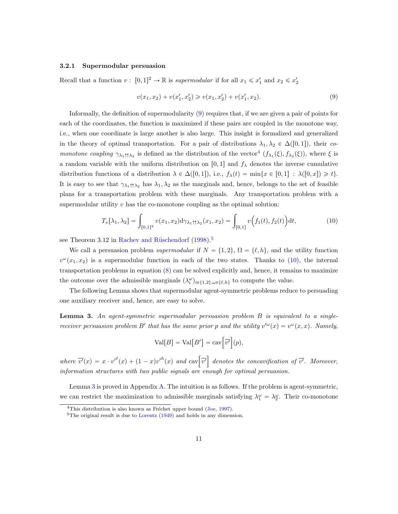#### <span id="page-10-0"></span>3.2.1 Supermodular persuasion

Recall that a function  $v: [0, 1]^2 \to \mathbb{R}$  is supermodular if for all  $x_1 \leq x_1'$  and  $x_2 \leq x_2'$ 

<span id="page-10-1"></span>
$$
v(x_1, x_2) + v(x_1', x_2') \geq v(x_1, x_2') + v(x_1', x_2). \tag{9}
$$

Informally, the definition of supermodularity [\(9\)](#page-10-1) requires that, if we are given a pair of points for each of the coordinates, the function is maximized if these pairs are coupled in the monotone way, i.e., when one coordinate is large another is also large. This insight is formalized and generalized in the theory of optimal transportation. For a pair of distributions  $\lambda_1, \lambda_2 \in \Delta([0,1])$ , their comonotone coupling  $\gamma_{\lambda_1\uparrow\lambda_2}$  is defined as the distribution of the vector<sup>[4](#page-10-2)</sup>  $(f_{\lambda_1}(\xi), f_{\lambda_2}(\xi))$ , where  $\xi$  is a random variable with the uniform distribution on [0, 1] and  $f_{\lambda}$  denotes the inverse cumulative distribution functions of a distribution  $\lambda \in \Delta([0, 1])$ , i.e.,  $f_{\lambda}(t) = \min\{x \in [0, 1]: \lambda([0, x]) \geq t\}.$ It is easy to see that  $\gamma_{\lambda_1\uparrow\lambda_2}$  has  $\lambda_1, \lambda_2$  as the marginals and, hence, belongs to the set of feasible plans for a transportation problem with these marginals. Any transportation problem with a supermodular utility  $v$  has the co-monotone coupling as the optimal solution:

<span id="page-10-4"></span>
$$
T_v[\lambda_1, \lambda_2] = \int_{[0,1]^2} v(x_1, x_2) d\gamma_{\lambda_1 \uparrow \uparrow \lambda_2}(x_1, x_2) = \int_{[0,1]} v\Big(f_1(t), f_2(t)\Big) dt,
$$
\n(10)

see Theorem 3.12 in Rachev and Rüschendorf  $(1998).<sup>5</sup>$  $(1998).<sup>5</sup>$  $(1998).<sup>5</sup>$  $(1998).<sup>5</sup>$ 

We call a persuasion problem *supermodular* if  $N = \{1, 2\}, \Omega = \{\ell, h\}$ , and the utility function  $v^{\omega}(x_1, x_2)$  is a supermodular function in each of the two states. Thanks to [\(10\)](#page-10-4), the internal transportation problems in equation [\(8\)](#page-9-1) can be solved explicitly and, hence, it remains to maximize the outcome over the admissible marginals  $(\lambda_i^{\omega})_{i \in \{1,2\}, \omega \in \{\ell, h\}}$  to compute the value.

The following Lemma shows that supermodular agent-symmetric problems reduce to persuading one auxiliary receiver and, hence, are easy to solve.

<span id="page-10-5"></span>**Lemma 3.** An agent-symmetric supermodular persuasion problem  $B$  is equivalent to a singlereceiver persuasion problem B' that has the same prior p and the utility  $v^{\omega}(x) = v^{\omega}(x, x)$ . Namely,

$$
Val[B] = Val[B'] = cav \Big[\overline{v'}\Big](p),
$$

where  $\overline{v'}(x) = x \cdot v'^{\ell}(x) + (1-x)v'^h(x)$  and  $\cosh \overline{v'}$ denotes the concavification of  $v'$ . Moreover, information structures with two public signals are enough for optimal persuasion.

Lemma [3](#page-10-5) is proved in Appendix [A.](#page-20-6) The intuition is as follows. If the problem is agent-symmetric, we can restrict the maximization to admissible marginals satisfying  $\lambda_1^{\omega} = \lambda_2^{\omega}$ . Their co-monotone

<span id="page-10-2"></span> $4$ This distribution is also known as Fréchet upper bound [\(Joe,](#page-19-12) [1997\)](#page-19-12).

<span id="page-10-3"></span> $5$ The original result is due to [Lorentz](#page-19-13) [\(1949\)](#page-19-13) and holds in any dimension.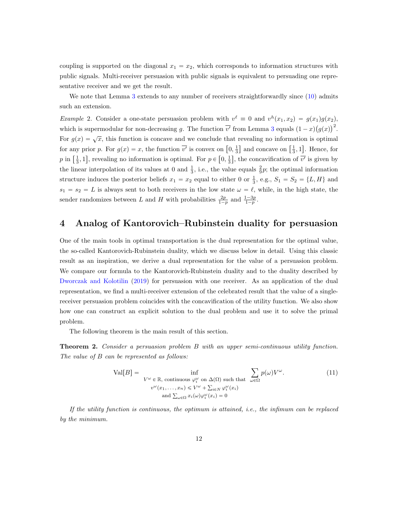coupling is supported on the diagonal  $x_1 = x_2$ , which corresponds to information structures with public signals. Multi-receiver persuasion with public signals is equivalent to persuading one representative receiver and we get the result.

We note that Lemma [3](#page-10-5) extends to any number of receivers straightforwardly since  $(10)$  admits such an extension.

*Example* 2. Consider a one-state persuasion problem with  $v^{\ell} \equiv 0$  and  $v^{h}(x_1, x_2) = g(x_1)g(x_2)$ , Example 2. Consider a one-scale persuasion problem with  $v = 0$  and  $v(x_1, x_2) - g(x_1)g(x_2)$ ,<br>which is supermodular for non-decreasing g. The function  $\overline{v'}$  from Lemma [3](#page-10-5) equals  $(1-x)(g(x))^2$ . For  $g(x) = \sqrt{x}$ , this function is concave and we conclude that revealing no information is optimal For  $g(x) = \sqrt{x}$ , this function is concave and we conclude that revealing no information is optimal<br>for any prior p. For  $g(x) = x$ , the function  $\overline{v'}$  is convex on  $\left[0, \frac{1}{3}\right]$  and concave on  $\left[\frac{1}{3}, 1\right]$ . Hence, f for any prior p. For  $g(x) = x$ , the function v is convex on  $[0, \frac{1}{3}]$  and concave on  $[\frac{1}{3}, 1]$ . Hence, for  $p$  in  $[\frac{1}{3}, 1]$ , revealing no information is optimal. For  $p \in [0, \frac{1}{3}]$ , the concavification of  $\overline{v'}$ the linear interpolation of its values at 0 and  $\frac{1}{3}$ , i.e., the value equals  $\frac{2}{9}p$ ; the optimal information structure induces the posterior beliefs  $x_1 = x_2$  equal to either 0 or  $\frac{1}{3}$ , e.g.,  $S_1 = S_2 = \{L, H\}$  and  $s_1 = s_2 = L$  is always sent to both receivers in the low state  $\omega = \ell$ , while, in the high state, the sender randomizes between L and H with probabilities  $\frac{2p}{1-p}$  and  $\frac{1-3p}{1-p}$ .

## <span id="page-11-1"></span>4 Analog of Kantorovich–Rubinstein duality for persuasion

One of the main tools in optimal transportation is the dual representation for the optimal value, the so-called Kantorovich-Rubinstein duality, which we discuss below in detail. Using this classic result as an inspiration, we derive a dual representation for the value of a persuasion problem. We compare our formula to the Kantorovich-Rubinstein duality and to the duality described by [Dworczak and Kolotilin](#page-18-12) [\(2019\)](#page-18-12) for persuasion with one receiver. As an application of the dual representation, we find a multi-receiver extension of the celebrated result that the value of a singlereceiver persuasion problem coincides with the concavification of the utility function. We also show how one can construct an explicit solution to the dual problem and use it to solve the primal problem.

The following theorem is the main result of this section.

<span id="page-11-0"></span>Theorem 2. Consider a persuasion problem B with an upper semi-continuous utility function. The value of B can be represented as follows:

<span id="page-11-2"></span>
$$
\text{Val}[B] = \inf_{V^{\omega} \in \mathbb{R}, \text{ continuous } \varphi_i^{\omega} \text{ on } \Delta(\Omega) \text{ such that } \sum_{\omega \in \Omega} p(\omega)V^{\omega}. \tag{11}
$$

$$
v^{\omega}(x_1, \dots, x_n) \le V^{\omega} + \sum_{i \in N} \varphi_i^{\omega}(x_i)
$$

$$
\text{and } \sum_{\omega \in \Omega} x_i(\omega)\varphi_i^{\omega}(x_i) = 0
$$

If the utility function is continuous, the optimum is attained, i.e., the infimum can be replaced by the minimum.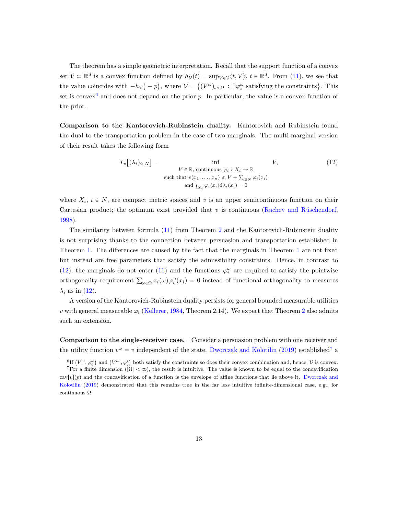The theorem has a simple geometric interpretation. Recall that the support function of a convex set  $V \subset \mathbb{R}^d$  is a convex function defined by  $h_V(t) = \sup_{V \in \mathcal{V}} \langle t, V \rangle$ ,  $t \in \mathbb{R}^d$ . From [\(11\)](#page-11-2), we see that the value coincides with  $-h_{\mathcal{V}}(-p)$ , where  $\mathcal{V} = \{ (V^{\omega})_{\omega \in \Omega} : \exists \varphi_i^{\omega}$  satisfying the constraints. This set is convex<sup>[6](#page-12-0)</sup> and does not depend on the prior  $p$ . In particular, the value is a convex function of the prior.

Comparison to the Kantorovich-Rubinstein duality. Kantorovich and Rubinstein found the dual to the transportation problem in the case of two marginals. The multi-marginal version of their result takes the following form

<span id="page-12-1"></span>
$$
T_v[(\lambda_i)_{i \in N}] = \inf_{\begin{aligned} V \in \mathbb{R}, \text{ continuous } \varphi_i : X_i \to \mathbb{R} \\ \text{such that } v(x_1, \dots, x_n) &\leq V + \sum_{i \in N} \varphi_i(x_i) \\ \text{and } \int_{X_i} \varphi_i(x_i) \mathrm{d}\lambda_i(x_i) &= 0 \end{aligned} \tag{12}
$$

where  $X_i$ ,  $i \in N$ , are compact metric spaces and v is an upper semicontinuous function on their Cartesian product; the optimum exist provided that  $v$  is continuous (Rachev and Rüschendorf, [1998\)](#page-20-7).

The similarity between formula [\(11\)](#page-11-2) from Theorem [2](#page-11-0) and the Kantorovich-Rubinstein duality is not surprising thanks to the connection between persuasion and transportation established in Theorem [1.](#page-5-0) The differences are caused by the fact that the marginals in Theorem [1](#page-5-0) are not fixed but instead are free parameters that satisfy the admissibility constraints. Hence, in contrast to [\(12\)](#page-12-1), the marginals do not enter [\(11\)](#page-11-2) and the functions  $\varphi_i^{\omega}$  are required to satisfy the pointwise orthogonality requirement  $\sum_{\omega \in \Omega} x_i(\omega) \varphi_i^{\omega}(x_i) = 0$  instead of functional orthogonality to measures  $\lambda_i$  as in [\(12\)](#page-12-1).

A version of the Kantorovich-Rubinstein duality persists for general bounded measurable utilities v with general measurable  $\varphi_i$  [\(Kellerer,](#page-19-14) [1984,](#page-19-14) Theorem [2](#page-11-0).14). We expect that Theorem 2 also admits such an extension.

Comparison to the single-receiver case. Consider a persuasion problem with one receiver and the utility function  $v^{\omega} = v$  independent of the state. [Dworczak and Kolotilin](#page-18-12) [\(2019\)](#page-18-12) established<sup>[7](#page-12-2)</sup> a

 $\overline{a}$ 

<span id="page-12-2"></span><span id="page-12-0"></span><sup>&</sup>lt;sup>6</sup>If  $(V^{\omega}, \varphi_i^{\omega})$ ) and  $(V'^\omega, \varphi'_i)$ both satisfy the constraints so does their convex combination and, hence,  $\mathcal V$  is convex.  $^7$ For a finite dimension  $(|\Omega| < \infty)$ , the result is intuitive. The value is known to be equal to the concavification  $cav[v](p)$  and the concavification of a function is the envelope of affine functions that lie above it. [Dworczak and](#page-18-12) [Kolotilin](#page-18-12) [\(2019\)](#page-18-12) demonstrated that this remains true in the far less intuitive infinite-dimensional case, e.g., for continuous Ω.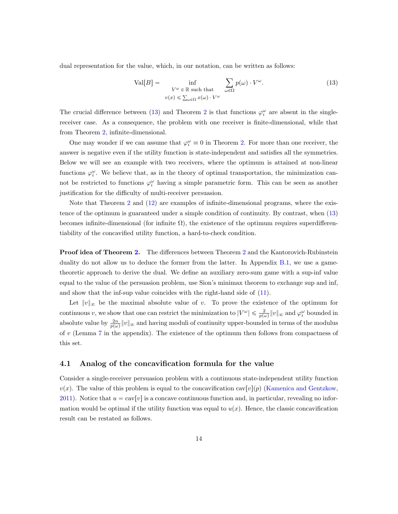dual representation for the value, which, in our notation, can be written as follows:

<span id="page-13-0"></span>
$$
\text{Val}[B] = \inf_{\substack{V^{\omega} \in \mathbb{R} \text{ such that} \\ v(x) \le \sum_{\omega \in \Omega} x(\omega) \cdot V^{\omega}}} \sum_{\omega \in \Omega} p(\omega) \cdot V^{\omega}.
$$
 (13)

The crucial difference between [\(13\)](#page-13-0) and Theorem [2](#page-11-0) is that functions  $\varphi_i^{\omega}$  are absent in the singlereceiver case. As a consequence, the problem with one receiver is finite-dimensional, while that from Theorem [2,](#page-11-0) infinite-dimensional.

One may wonder if we can assume that  $\varphi_i^{\omega} \equiv 0$  in Theorem [2.](#page-11-0) For more than one receiver, the answer is negative even if the utility function is state-independent and satisfies all the symmetries. Below we will see an example with two receivers, where the optimum is attained at non-linear functions  $\varphi_i^{\omega}$ . We believe that, as in the theory of optimal transportation, the minimization cannot be restricted to functions  $\varphi_i^{\omega}$  having a simple parametric form. This can be seen as another justification for the difficulty of multi-receiver persuasion.

Note that Theorem [2](#page-11-0) and [\(12\)](#page-12-1) are examples of infinite-dimensional programs, where the existence of the optimum is guaranteed under a simple condition of continuity. By contrast, when [\(13\)](#page-13-0) becomes infinite-dimensional (for infinite  $\Omega$ ), the existence of the optimum requires superdifferentiability of the concavified utility function, a hard-to-check condition.

Proof idea of Theorem [2.](#page-11-0) The differences between Theorem [2](#page-11-0) and the Kantorovich-Rubinstein duality do not allow us to deduce the former from the latter. In Appendix [B.1,](#page-27-0) we use a gametheoretic approach to derive the dual. We define an auxiliary zero-sum game with a sup-inf value equal to the value of the persuasion problem, use Sion's minimax theorem to exchange sup and inf, and show that the inf-sup value coincides with the right-hand side of [\(11\)](#page-11-2).

Let  $||v||_{\infty}$  be the maximal absolute value of v. To prove the existence of the optimum for continuous v, we show that one can restrict the minimization to  $|V^{\omega}| \leq \frac{2}{p(\omega)} ||v||_{\infty}$  and  $\varphi_i^{\omega}$  bounded in absolute value by  $\frac{2n}{p(\omega)}||v||_{\infty}$  and having moduli of continuity upper-bounded in terms of the modulus of  $v$  (Lemma [7](#page-29-0) in the appendix). The existence of the optimum then follows from compactness of this set.

#### 4.1 Analog of the concavification formula for the value

Consider a single-receiver persuasion problem with a continuous state-independent utility function  $v(x)$ . The value of this problem is equal to the concavification cav $[v](p)$  [\(Kamenica and Gentzkow,](#page-19-0) [2011\)](#page-19-0). Notice that  $u = \text{cav}[v]$  is a concave continuous function and, in particular, revealing no information would be optimal if the utility function was equal to  $u(x)$ . Hence, the classic concavification result can be restated as follows.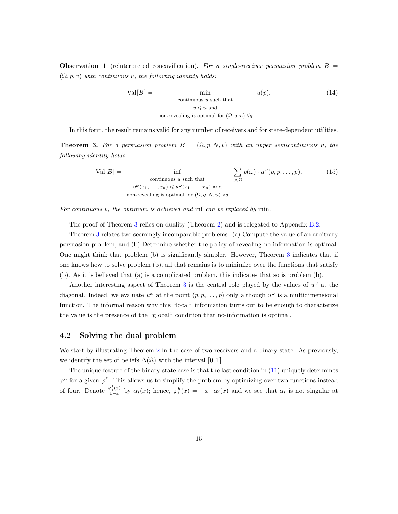**Observation 1** (reinterpreted concavification). For a single-receiver persuasion problem  $B =$  $(\Omega, p, v)$  with continuous v, the following identity holds:

$$
Val[B] = \min_{\text{continuous } u \text{ such that}} u(p). \tag{14}
$$
  

$$
v \leq u \text{ and}
$$
  
non-revealing is optimal for  $(\Omega, q, u) \forall q$ 

In this form, the result remains valid for any number of receivers and for state-dependent utilities.

<span id="page-14-0"></span>**Theorem 3.** For a persuasion problem  $B = (\Omega, p, N, v)$  with an upper semicontinuous v, the following identity holds:

$$
\text{Val}[B] = \inf_{\substack{\text{continuous } u \text{ such that} \\ v^{\omega}(x_1, \dots, x_n) \leq u^{\omega}(x_1, \dots, x_n) \text{ and} \\ \text{non-revealing is optimal for } (\Omega, q, N, u) \forall q}} \sum_{\omega \in \Omega} p(\omega) \cdot u^{\omega}(p, p, \dots, p). \tag{15}
$$

For continuous v, the optimum is achieved and inf can be replaced by min.

The proof of Theorem [3](#page-14-0) relies on duality (Theorem [2\)](#page-11-0) and is relegated to Appendix [B.2.](#page-32-0)

Theorem [3](#page-14-0) relates two seemingly incomparable problems: (a) Compute the value of an arbitrary persuasion problem, and (b) Determine whether the policy of revealing no information is optimal. One might think that problem (b) is significantly simpler. However, Theorem [3](#page-14-0) indicates that if one knows how to solve problem (b), all that remains is to minimize over the functions that satisfy (b). As it is believed that (a) is a complicated problem, this indicates that so is problem (b).

Another interesting aspect of Theorem [3](#page-14-0) is the central role played by the values of  $u^{\omega}$  at the diagonal. Indeed, we evaluate  $u^{\omega}$  at the point  $(p, p, \ldots, p)$  only although  $u^{\omega}$  is a multidimensional function. The informal reason why this "local" information turns out to be enough to characterize the value is the presence of the "global" condition that no-information is optimal.

### 4.2 Solving the dual problem

We start by illustrating Theorem [2](#page-11-0) in the case of two receivers and a binary state. As previously, we identify the set of beliefs  $\Delta(\Omega)$  with the interval [0, 1].

The unique feature of the binary-state case is that the last condition in [\(11\)](#page-11-2) uniquely determines  $\varphi^h$  for a given  $\varphi^{\ell}$ . This allows us to simplify the problem by optimizing over two functions instead of four. Denote  $\frac{\varphi_i^{\ell}(x)}{1-x}$  $\frac{\partial z_i^k(x)}{1-x}$  by  $\alpha_i(x)$ ; hence,  $\varphi_i^h(x) = -x \cdot \alpha_i(x)$  and we see that  $\alpha_i$  is not singular at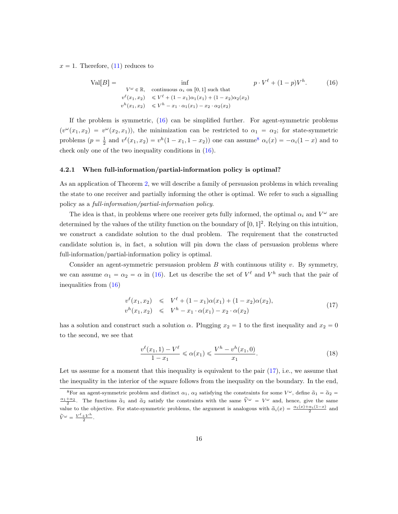$x = 1$ . Therefore, [\(11\)](#page-11-2) reduces to

<span id="page-15-0"></span>
$$
\text{Val}[B] = \inf_{\substack{V^{\omega} \in \mathbb{R}, \text{ continuous } \alpha_i \text{ on } [0,1] \text{ such that} \\ v^{\ell}(x_1, x_2) \le V^{\ell} + (1 - x_1)\alpha_1(x_1) + (1 - x_2)\alpha_2(x_2) \\ v^h(x_1, x_2) \le V^h - x_1 \cdot \alpha_1(x_1) - x_2 \cdot \alpha_2(x_2)} \tag{16}
$$

If the problem is symmetric, [\(16\)](#page-15-0) can be simplified further. For agent-symmetric problems  $(v^{\omega}(x_1, x_2) = v^{\omega}(x_2, x_1))$ , the minimization can be restricted to  $\alpha_1 = \alpha_2$ ; for state-symmetric problems  $(p = \frac{1}{2}$  and  $v^{\ell}(x_1, x_2) = v^h(1 - x_1, 1 - x_2)$  one can assume<sup>[8](#page-15-1)</sup>  $\alpha_i(x) = -\alpha_i(1 - x)$  and to check only one of the two inequality conditions in [\(16\)](#page-15-0).

#### 4.2.1 When full-information/partial-information policy is optimal?

As an application of Theorem [2,](#page-11-0) we will describe a family of persuasion problems in which revealing the state to one receiver and partially informing the other is optimal. We refer to such a signalling policy as a full-information/partial-information policy.

The idea is that, in problems where one receiver gets fully informed, the optimal  $\alpha_i$  and  $V^{\omega}$  are determined by the values of the utility function on the boundary of  $[0, 1]^2$ . Relying on this intuition, we construct a candidate solution to the dual problem. The requirement that the constructed candidate solution is, in fact, a solution will pin down the class of persuasion problems where full-information/partial-information policy is optimal.

Consider an agent-symmetric persuasion problem  $B$  with continuous utility  $v$ . By symmetry, we can assume  $\alpha_1 = \alpha_2 = \alpha$  in [\(16\)](#page-15-0). Let us describe the set of  $V^{\ell}$  and  $V^h$  such that the pair of inequalities from [\(16\)](#page-15-0)

<span id="page-15-2"></span>
$$
v^{\ell}(x_1, x_2) \leqslant V^{\ell} + (1 - x_1)\alpha(x_1) + (1 - x_2)\alpha(x_2),
$$
  
\n
$$
v^{h}(x_1, x_2) \leqslant V^{h} - x_1 \cdot \alpha(x_1) - x_2 \cdot \alpha(x_2)
$$
\n(17)

has a solution and construct such a solution  $\alpha$ . Plugging  $x_2 = 1$  to the first inequality and  $x_2 = 0$ to the second, we see that

<span id="page-15-3"></span>
$$
\frac{v^{\ell}(x_1, 1) - V^{\ell}}{1 - x_1} \leq \alpha(x_1) \leq \frac{V^h - v^h(x_1, 0)}{x_1}.
$$
\n(18)

Let us assume for a moment that this inequality is equivalent to the pair  $(17)$ , i.e., we assume that the inequality in the interior of the square follows from the inequality on the boundary. In the end,

<span id="page-15-1"></span><sup>&</sup>lt;sup>8</sup>For an agent-symmetric problem and distinct  $\alpha_1$ ,  $\alpha_2$  satisfying the constraints for some  $V^{\omega}$ , define  $\tilde{\alpha}_1 = \tilde{\alpha}_2 =$  $\frac{\alpha_1+\alpha_2}{2}$ . The functions  $\tilde{\alpha}_1$  and  $\tilde{\alpha}_2$  satisfy the constraints with the same  $\tilde{V}^{\omega} = V^{\omega}$  and, hence, give the same value to the objective. For state-symmetric problems, the argument is analogous with  $\tilde{\alpha}_i(x) = \frac{\alpha_i(x) + \alpha_i(1-x)}{2}$  and  $\widetilde{V}^{\omega} = \frac{V^{\ell} + V^h}{2}$  $\frac{+V}{2}$ .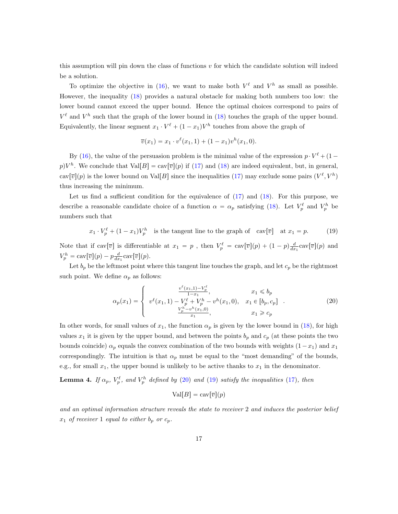this assumption will pin down the class of functions  $v$  for which the candidate solution will indeed be a solution.

To optimize the objective in [\(16\)](#page-15-0), we want to make both  $V^{\ell}$  and  $V^h$  as small as possible. However, the inequality [\(18\)](#page-15-3) provides a natural obstacle for making both numbers too low: the lower bound cannot exceed the upper bound. Hence the optimal choices correspond to pairs of  $V^{\ell}$  and  $V^h$  such that the graph of the lower bound in [\(18\)](#page-15-3) touches the graph of the upper bound. Equivalently, the linear segment  $x_1 \cdot V^{\ell} + (1 - x_1)V^h$  touches from above the graph of

$$
\overline{v}(x_1) = x_1 \cdot v^{\ell}(x_1, 1) + (1 - x_1)v^h(x_1, 0).
$$

By [\(16\)](#page-15-0), the value of the persuasion problem is the minimal value of the expression  $p \cdot V^{\ell} + (1$  $p)V^h$ . We conclude that  $Val[B] = \text{cav}[\overline{v}](p)$  if [\(17\)](#page-15-2) and [\(18\)](#page-15-3) are indeed equivalent, but, in general,  $\text{cav}[\overline{v}](p)$  is the lower bound on Val[B] since the inequalities [\(17\)](#page-15-2) may exclude some pairs  $(V^{\ell}, V^h)$ thus increasing the minimum.

Let us find a sufficient condition for the equivalence of [\(17\)](#page-15-2) and [\(18\)](#page-15-3). For this purpose, we describe a reasonable candidate choice of a function  $\alpha = \alpha_p$  satisfying [\(18\)](#page-15-3). Let  $V_p^{\ell}$  and  $V_p^h$  be numbers such that

<span id="page-16-1"></span>
$$
x_1 \cdot V_p^{\ell} + (1 - x_1)V_p^h \quad \text{is the tangent line to the graph of} \quad \text{cav}[\overline{v}] \quad \text{at } x_1 = p. \tag{19}
$$

Note that if  $\text{cav}[\overline{v}]$  is differentiable at  $x_1 = p$ , then  $V_p^{\ell} = \text{cav}[\overline{v}](p) + (1-p)\frac{d}{dx_1}\text{cav}[\overline{v}](p)$  and  $V_p^h = \text{cav}[\overline{v}](p) - p\frac{d}{dx_1}\text{cav}[\overline{v}](p).$ 

Let  $b_p$  be the leftmost point where this tangent line touches the graph, and let  $c_p$  be the rightmost such point. We define  $\alpha_p$  as follows:

<span id="page-16-0"></span>
$$
\alpha_p(x_1) = \begin{cases}\n\frac{v^{\ell}(x_1, 1) - V_p^{\ell}}{1 - x_1}, & x_1 \leq b_p \\
v^{\ell}(x_1, 1) - V_p^{\ell} + V_p^h - v^h(x_1, 0), & x_1 \in [b_p, c_p] \\
\frac{V_p^h - v^h(x_1, 0)}{x_1}, & x_1 \geq c_p\n\end{cases} (20)
$$

In other words, for small values of  $x_1$ , the function  $\alpha_p$  is given by the lower bound in [\(18\)](#page-15-3), for high values  $x_1$  it is given by the upper bound, and between the points  $b_p$  and  $c_p$  (at these points the two bounds coincide)  $\alpha_p$  equals the convex combination of the two bounds with weights  $(1-x_1)$  and  $x_1$ correspondingly. The intuition is that  $\alpha_p$  must be equal to the "most demanding" of the bounds, e.g., for small  $x_1$ , the upper bound is unlikely to be active thanks to  $x_1$  in the denominator.

<span id="page-16-2"></span>**Lemma 4.** If  $\alpha_p$ ,  $V_p^{\ell}$ , and  $V_p^h$  defined by [\(20\)](#page-16-0) and [\(19\)](#page-16-1) satisfy the inequalities [\(17\)](#page-15-2), then

$$
Val[B] = cav[\overline{v}](p)
$$

and an optimal information structure reveals the state to receiver 2 and induces the posterior belief  $x_1$  of receiver 1 equal to either  $b_p$  or  $c_p$ .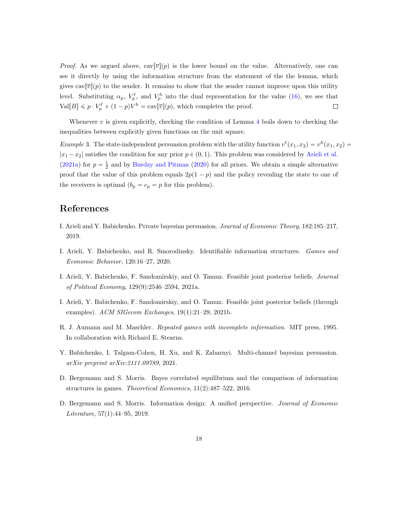*Proof.* As we argued above,  $cav(\overline{v}|p)$  is the lower bound on the value. Alternatively, one can see it directly by using the information structure from the statement of the the lemma, which gives  $\text{cav}[\overline{v}](p)$  to the sender. It remains to show that the sender cannot improve upon this utility level. Substituting  $\alpha_p$ ,  $V_p^{\ell}$ , and  $V_p^h$  into the dual representation for the value [\(16\)](#page-15-0), we see that  $Val[B] \leq p \cdot V_p^{\ell} + (1-p)V^h = \text{cav}[\overline{v}](p)$ , which completes the proof.  $\Box$ 

Whenever  $v$  is given explicitly, checking the condition of Lemma  $4$  boils down to checking the inequalities between explicitly given functions on the unit square.

*Example* 3. The state-independent persuasion problem with the utility function  $v^{\ell}(x_1, x_2) = v^h(x_1, x_2)$  $|x_1 - x_2|$  satisfies the condition for any prior  $p \in (0, 1)$ . This problem was considered by [Arieli et al.](#page-17-1) [\(2021a\)](#page-17-1) for  $p = \frac{1}{2}$  and by [Burdzy and Pitman](#page-18-2) [\(2020\)](#page-18-2) for all priors. We obtain a simple alternative proof that the value of this problem equals  $2p(1 - p)$  and the policy revealing the state to one of the receivers is optimal  $(b_p = c_p = p$  for this problem).

# References

- <span id="page-17-4"></span>I. Arieli and Y. Babichenko. Private bayesian persuasion. Journal of Economic Theory, 182:185–217, 2019.
- <span id="page-17-7"></span>I. Arieli, Y. Babichenko, and R. Smorodinsky. Identifiable information structures. Games and Economic Behavior, 120:16–27, 2020.
- <span id="page-17-1"></span>I. Arieli, Y. Babichenko, F. Sandomirskiy, and O. Tamuz. Feasible joint posterior beliefs. Journal of Political Economy, 129(9):2546–2594, 2021a.
- <span id="page-17-2"></span>I. Arieli, Y. Babichenko, F. Sandomirskiy, and O. Tamuz. Feasible joint posterior beliefs (through examples). ACM SIGecom Exchanges, 19(1):21–29, 2021b.
- <span id="page-17-0"></span>R. J. Aumann and M. Maschler. Repeated games with incomplete information. MIT press, 1995. In collaboration with Richard E. Stearns.
- <span id="page-17-3"></span>Y. Babichenko, I. Talgam-Cohen, H. Xu, and K. Zabarnyi. Multi-channel bayesian persuasion. arXiv preprint arXiv:2111.09789, 2021.
- <span id="page-17-5"></span>D. Bergemann and S. Morris. Bayes correlated equilibrium and the comparison of information structures in games. Theoretical Economics, 11(2):487–522, 2016.
- <span id="page-17-6"></span>D. Bergemann and S. Morris. Information design: A unified perspective. *Journal of Economic* Literature, 57(1):44–95, 2019.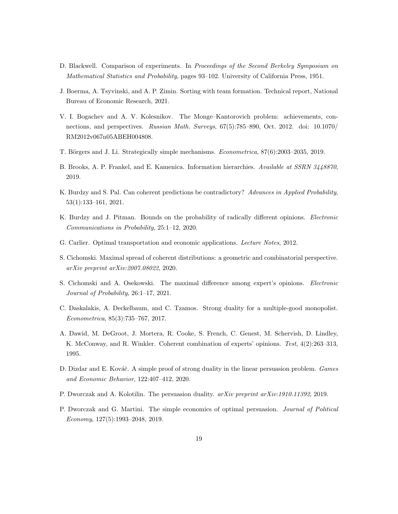- <span id="page-18-14"></span>D. Blackwell. Comparison of experiments. In Proceedings of the Second Berkeley Symposium on Mathematical Statistics and Probability, pages 93–102. University of California Press, 1951.
- <span id="page-18-7"></span>J. Boerma, A. Tsyvinski, and A. P. Zimin. Sorting with team formation. Technical report, National Bureau of Economic Research, 2021.
- <span id="page-18-9"></span>V. I. Bogachev and A. V. Kolesnikov. The Monge–Kantorovich problem: achievements, connections, and perspectives. Russian Math. Surveys, 67(5):785–890, Oct. 2012. doi: 10.1070/ RM2012v067n05ABEH004808.
- <span id="page-18-13"></span>T. Börgers and J. Li. Strategically simple mechanisms. Econometrica, 87(6):2003-2035, 2019.
- <span id="page-18-1"></span>B. Brooks, A. P. Frankel, and E. Kamenica. Information hierarchies. Available at SSRN 3448870, 2019.
- <span id="page-18-3"></span>K. Burdzy and S. Pal. Can coherent predictions be contradictory? Advances in Applied Probability, 53(1):133–161, 2021.
- <span id="page-18-2"></span>K. Burdzy and J. Pitman. Bounds on the probability of radically different opinions. *Electronic* Communications in Probability, 25:1–12, 2020.
- <span id="page-18-8"></span>G. Carlier. Optimal transportation and economic applications. Lecture Notes, 2012.
- <span id="page-18-4"></span>S. Cichomski. Maximal spread of coherent distributions: a geometric and combinatorial perspective. arXiv preprint arXiv:2007.08022, 2020.
- <span id="page-18-5"></span>S. Cichomski and A. Osekowski. The maximal difference among expert's opinions. Electronic Journal of Probability, 26:1–17, 2021.
- <span id="page-18-6"></span>C. Daskalakis, A. Deckelbaum, and C. Tzamos. Strong duality for a multiple-good monopolist. Econometrica, 85(3):735–767, 2017.
- <span id="page-18-0"></span>A. Dawid, M. DeGroot, J. Mortera, R. Cooke, S. French, C. Genest, M. Schervish, D. Lindley, K. McConway, and R. Winkler. Coherent combination of experts' opinions. Test,  $4(2):263-313$ , 1995.
- <span id="page-18-11"></span>D. Dizdar and E. Kováč. A simple proof of strong duality in the linear persuasion problem. Games and Economic Behavior, 122:407–412, 2020.
- <span id="page-18-12"></span>P. Dworczak and A. Kolotilin. The persuasion duality.  $arXiv$  preprint  $arXiv:1910.11392$ , 2019.
- <span id="page-18-10"></span>P. Dworczak and G. Martini. The simple economics of optimal persuasion. Journal of Political Economy, 127(5):1993–2048, 2019.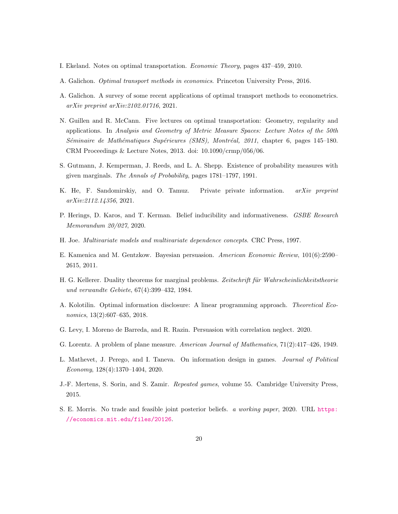- <span id="page-19-6"></span>I. Ekeland. Notes on optimal transportation. Economic Theory, pages 437–459, 2010.
- <span id="page-19-7"></span>A. Galichon. Optimal transport methods in economics. Princeton University Press, 2016.
- <span id="page-19-5"></span>A. Galichon. A survey of some recent applications of optimal transport methods to econometrics. arXiv preprint arXiv:2102.01716, 2021.
- <span id="page-19-8"></span>N. Guillen and R. McCann. Five lectures on optimal transportation: Geometry, regularity and applications. In Analysis and Geometry of Metric Measure Spaces: Lecture Notes of the 50th Séminaire de Mathématiques Supérieures (SMS), Montréal, 2011, chapter 6, pages 145–180. CRM Proceedings & Lecture Notes, 2013. doi: 10.1090/crmp/056/06.
- <span id="page-19-10"></span>S. Gutmann, J. Kemperman, J. Reeds, and L. A. Shepp. Existence of probability measures with given marginals. The Annals of Probability, pages 1781–1797, 1991.
- <span id="page-19-2"></span>K. He, F. Sandomirskiy, and O. Tamuz. Private private information. arXiv preprint arXiv:2112.14356, 2021.
- <span id="page-19-3"></span>P. Herings, D. Karos, and T. Kerman. Belief inducibility and informativeness. *GSBE Research* Memorandum 20/027, 2020.
- <span id="page-19-12"></span>H. Joe. Multivariate models and multivariate dependence concepts. CRC Press, 1997.
- <span id="page-19-0"></span>E. Kamenica and M. Gentzkow. Bayesian persuasion. American Economic Review, 101(6):2590– 2615, 2011.
- <span id="page-19-14"></span>H. G. Kellerer. Duality theorems for marginal problems. Zeitschrift für Wahrscheinlichkeitstheorie und verwandte Gebiete, 67(4):399–432, 1984.
- <span id="page-19-9"></span>A. Kolotilin. Optimal information disclosure: A linear programming approach. Theoretical Economics, 13(2):607–635, 2018.
- <span id="page-19-11"></span>G. Levy, I. Moreno de Barreda, and R. Razin. Persuasion with correlation neglect. 2020.
- <span id="page-19-13"></span>G. Lorentz. A problem of plane measure. American Journal of Mathematics, 71(2):417–426, 1949.
- <span id="page-19-1"></span>L. Mathevet, J. Perego, and I. Taneva. On information design in games. Journal of Political Economy, 128(4):1370–1404, 2020.
- <span id="page-19-15"></span>J.-F. Mertens, S. Sorin, and S. Zamir. Repeated games, volume 55. Cambridge University Press, 2015.
- <span id="page-19-4"></span>S. E. Morris. No trade and feasible joint posterior beliefs. a working paper, 2020. URL [https:](https://economics.mit.edu/files/20126) [//economics.mit.edu/files/20126](https://economics.mit.edu/files/20126).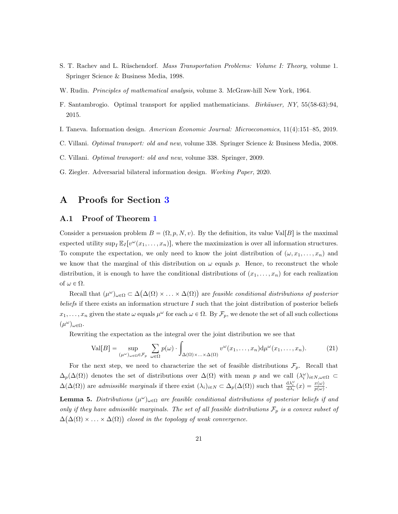- <span id="page-20-7"></span>S. T. Rachev and L. Rüschendorf. *Mass Transportation Problems: Volume I: Theory*, volume 1. Springer Science & Business Media, 1998.
- <span id="page-20-10"></span>W. Rudin. *Principles of mathematical analysis*, volume 3. McGraw-hill New York, 1964.
- <span id="page-20-2"></span>F. Santambrogio. Optimal transport for applied mathematicians. *Birkäuser*, NY, 55(58-63):94, 2015.
- <span id="page-20-1"></span>I. Taneva. Information design. American Economic Journal: Microeconomics, 11(4):151–85, 2019.
- <span id="page-20-9"></span>C. Villani. Optimal transport: old and new, volume 338. Springer Science & Business Media, 2008.
- <span id="page-20-3"></span>C. Villani. Optimal transport: old and new, volume 338. Springer, 2009.
- <span id="page-20-0"></span>G. Ziegler. Adversarial bilateral information design. Working Paper, 2020.

# <span id="page-20-6"></span>A Proofs for Section [3](#page-5-3)

#### <span id="page-20-4"></span>A.1 Proof of Theorem [1](#page-5-0)

Consider a persuasion problem  $B = (\Omega, p, N, v)$ . By the definition, its value Val[B] is the maximal expected utility  $\sup_I \mathbb{E}_I[v^\omega(x_1,\ldots,x_n)],$  where the maximization is over all information structures. To compute the expectation, we only need to know the joint distribution of  $(\omega, x_1, \ldots, x_n)$  and we know that the marginal of this distribution on  $\omega$  equals p. Hence, to reconstruct the whole distribution, it is enough to have the conditional distributions of  $(x_1, \ldots, x_n)$  for each realization of  $\omega \in \Omega$ .

Recall that  $(\mu^{\omega})_{\omega \in \Omega} \subset \Delta$  $\Delta(\Omega) \times \ldots \times \Delta(\Omega)$ are feasible conditional distributions of posterior beliefs if there exists an information structure  $I$  such that the joint distribution of posterior beliefs  $x_1, \ldots, x_n$  given the state  $\omega$  equals  $\mu^{\omega}$  for each  $\omega \in \Omega$ . By  $\mathcal{F}_p$ , we denote the set of all such collections  $(\mu^\omega)_{\omega \in \Omega}$ .

<span id="page-20-8"></span>

Rewriting the expectation as the integral over the joint distribution we see that  
\n
$$
\text{Val}[B] = \sup_{(\mu^{\omega})_{\omega \in \Omega} \in \mathcal{F}_p} \sum_{\omega \in \Omega} p(\omega) \cdot \int_{\Delta(\Omega) \times ... \times \Delta(\Omega)} v^{\omega}(x_1, ..., x_n) d\mu^{\omega}(x_1, ..., x_n). \tag{21}
$$

For the next step, we need to characterize the set of feasible distributions  $\mathcal{F}_p$ . Recall that  $\Delta_p(\Delta(\Omega))$  denotes the set of distributions over  $\Delta(\Omega)$  with mean p and we call  $(\lambda_i^{\omega})_{i\in N,\omega\in\Omega}$  $\Delta(\Delta(\Omega))$  are admissible marginals if there exist  $(\lambda_i)_{i \in N} \subset \Delta_p(\Delta(\Omega))$  such that  $\frac{d\lambda_i^{\omega}}{d\lambda_i}(x) = \frac{x(\omega)}{p(\omega)}$ .

<span id="page-20-5"></span>**Lemma 5.** Distributions  $(\mu^{\omega})_{\omega \in \Omega}$  are feasible conditional distributions of posterior beliefs if and only if they have admissible marginals. The set of all feasible distributions  $\mathcal{F}_p$  is a convex subset of  $\Delta(\Delta(\Omega) \times \ldots \times \Delta(\Omega))$  closed in the topology of weak convergence.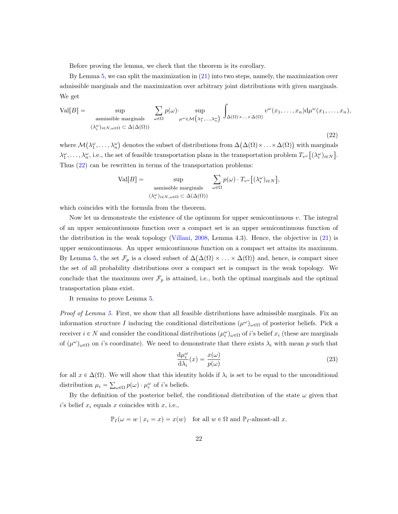Before proving the lemma, we check that the theorem is its corollary.

By Lemma [5,](#page-20-5) we can split the maximization in [\(21\)](#page-20-8) into two steps, namely, the maximization over admissible marginals and the maximization over arbitrary joint distributions with given marginals. We get

<span id="page-21-0"></span>
$$
\text{Val}[B] = \sup_{\substack{\text{assmissible marginals} \\ (\lambda_i^{\omega})_{i \in N, \omega \in \Omega} \subset \Delta(\Delta(\Omega))}} \sum_{\omega \in \Omega} p(\omega) \cdot \sup_{\mu^{\omega} \in \mathcal{M}(\lambda_1^{\omega}, \dots, \lambda_n^{\omega})} \int_{\Delta(\Omega) \times \dots \times \Delta(\Omega)} v^{\omega}(x_1, \dots, x_n) d\mu^{\omega}(x_1, \dots, x_n),
$$
\n(22)

where M  $\lambda_1^{\omega}, \ldots, \lambda_n^{\omega}$ denotes the subset of distributions from  $\Delta(\Delta(\Omega) \times ... \times \Delta(\Omega))$ with marginals  $\lambda_1^{\omega}, \ldots, \lambda_n^{\omega}$ , i.e., the set of feasible transportation plans in the transportation problem  $T_{v^{\omega}}[(\lambda_i^{\omega})_{i \in N}]$ . Thus [\(22\)](#page-21-0) can be rewritten in terms of the transportation problems:

$$
\text{Val}[B] = \sup_{\substack{\text{assmissible marginals} \\ (\lambda_i^{\omega})_{i \in N, \omega \in \Omega} \subset \Delta(\Delta(\Omega))}} \sum_{\omega \in \Omega} p(\omega) \cdot T_{v^{\omega}} \big[ (\lambda_i^{\omega})_{i \in N} \big],
$$

which coincides with the formula from the theorem.

Now let us demonstrate the existence of the optimum for upper semicontinuous v. The integral of an upper semicontinuous function over a compact set is an upper semicontinuous function of the distribution in the weak topology [\(Villani,](#page-20-9) [2008,](#page-20-9) Lemma 4.3). Hence, the objective in [\(21\)](#page-20-8) is upper semicontinuous. An upper semicontinuous function on a compact set attains its maximum. By Lemma [5,](#page-20-5) the set  $\mathcal{F}_p$  is a closed subset of  $\Delta(\Delta(\Omega) \times ... \times \Delta(\Omega))$  and, hence, is compact since the set of all probability distributions over a compact set is compact in the weak topology. We conclude that the maximum over  $\mathcal{F}_p$  is attained, i.e., both the optimal marginals and the optimal transportation plans exist.

It remains to prove Lemma [5.](#page-20-5)

Proof of Lemma [5.](#page-20-5) First, we show that all feasible distributions have admissible marginals. Fix an information structure I inducing the conditional distributions  $(\mu^{\omega})_{\omega \in \Omega}$  of posterior beliefs. Pick a receiver  $i \in N$  and consider the conditional distributions  $(\mu_i^{\omega})_{\omega \in \Omega}$  of i's belief  $x_i$  (these are marginals of  $(\mu^{\omega})_{\omega \in \Omega}$  on *i*'s coordinate). We need to demonstrate that there exists  $\lambda_i$  with mean p such that

<span id="page-21-1"></span>
$$
\frac{d\mu_i^{\omega}}{d\lambda_i}(x) = \frac{x(\omega)}{p(\omega)}
$$
\n(23)

for all  $x \in \Delta(\Omega)$ . We will show that this identity holds if  $\lambda_i$  is set to be equal to the unconditional distribution  $\mu_i = \sum_{\omega \in \Omega} p(\omega) \cdot \mu_i^{\omega}$  of *i*'s beliefs.

By the definition of the posterior belief, the conditional distribution of the state  $\omega$  given that i's belief  $x_i$  equals x coincides with x, i.e.,

 $\mathbb{P}_I(\omega = w \mid x_i = x) = x(w)$  for all  $w \in \Omega$  and  $\mathbb{P}_I$ -almost-all x.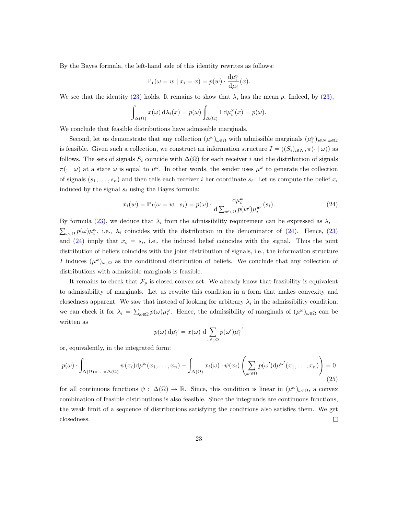By the Bayes formula, the left-hand side of this identity rewrites as follows:

$$
\mathbb{P}_{I}(\omega = w \mid x_{i} = x) = p(w) \cdot \frac{d\mu_{i}^{\omega}}{d\mu_{i}}(x).
$$

We see that the identity [\(23\)](#page-21-1) holds. It remains to show that  $\lambda_i$  has the mean p. Indeed, by (23),

$$
\int_{\Delta(\Omega)} x(\omega) d\lambda_i(x) = p(\omega) \int_{\Delta(\Omega)} 1 d\mu_i^{\omega}(x) = p(\omega).
$$

We conclude that feasible distributions have admissible marginals.

Second, let us demonstrate that any collection  $(\mu^{\omega})_{\omega \in \Omega}$  with admissible marginals  $(\mu_i^{\omega})_{i \in N, \omega \in \Omega}$ is feasible. Given such a collection, we construct an information structure  $I = ((S_i)_{i\in N}, \pi(\cdot | \omega))$  as follows. The sets of signals  $S_i$  coincide with  $\Delta(\Omega)$  for each receiver i and the distribution of signals  $\pi(\cdot | \omega)$  at a state  $\omega$  is equal to  $\mu^{\omega}$ . In other words, the sender uses  $\mu^{\omega}$  to generate the collection of signals  $(s_1, \ldots, s_n)$  and then tells each receiver i her coordinate  $s_i$ . Let us compute the belief  $x_i$ induced by the signal  $s_i$  using the Bayes formula:

<span id="page-22-0"></span>
$$
x_i(w) = \mathbb{P}_I(\omega = w \mid s_i) = p(\omega) \cdot \frac{\mathrm{d}\mu_i^{\omega}}{\mathrm{d} \sum_{w' \in \Omega} p(w') \mu_i^{w'}}(s_i). \tag{24}
$$

By formula [\(23\)](#page-21-1), we deduce that  $\lambda_i$  from the admissibility requirement can be expressed as  $\lambda_i$  =  $\log_{\rho} p(\omega) \mu_i^{\omega}$ , i.e.,  $\lambda_i$  coincides with the distribution in the denominator of [\(24\)](#page-22-0). Hence, [\(23\)](#page-21-1) and  $(24)$  imply that  $x_i = s_i$ , i.e., the induced belief coincides with the signal. Thus the joint distribution of beliefs coincides with the joint distribution of signals, i.e., the information structure I induces  $(\mu^{\omega})_{\omega \in \Omega}$  as the conditional distribution of beliefs. We conclude that any collection of distributions with admissible marginals is feasible.

It remains to check that  $\mathcal{F}_p$  is closed convex set. We already know that feasibility is equivalent to admissibility of marginals. Let us rewrite this condition in a form that makes convexity and closedness apparent. We saw that instead of looking for arbitrary  $\lambda_i$  in the admissibility condition, we can check it for  $\lambda_i = \sum_{\omega \in \Omega} p(\omega) \mu_i^{\omega}$ . Hence, the admissibility of marginals of  $(\mu^{\omega})_{\omega \in \Omega}$  can be written as

$$
p(\omega) d\mu_i^{\omega} = x(\omega) d \sum_{\omega' \in \Omega} p(\omega') \mu_i^{\omega'}
$$

or, equivalently, in the integrated form:

$$
p(\omega) \cdot \int_{\Delta(\Omega) \times ... \times \Delta(\Omega)} \psi(x_i) d\mu^{\omega}(x_1, ..., x_n) - \int_{\Delta(\Omega)} x_i(\omega) \cdot \psi(x_i) \left( \sum_{\omega' \in \Omega} p(\omega') d\mu^{\omega'}(x_1, ..., x_n) \right) = 0
$$
\n(25)

for all continuous functions  $\psi : \Delta(\Omega) \to \mathbb{R}$ . Since, this condition is linear in  $(\mu^{\omega})_{\omega \in \Omega}$ , a convex combination of feasible distributions is also feasible. Since the integrands are continuous functions, the weak limit of a sequence of distributions satisfying the conditions also satisfies them. We get closedness.  $\Box$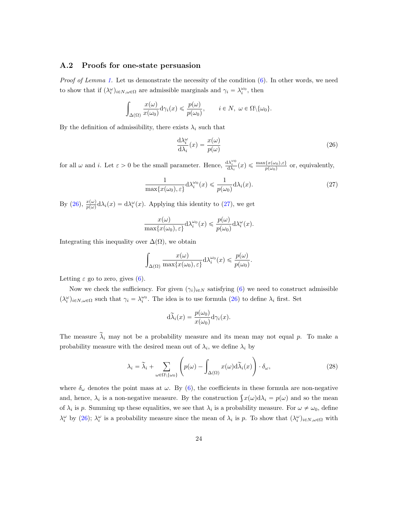### A.2 Proofs for one-state persuasion

*Proof of Lemma [1.](#page-7-2)* Let us demonstrate the necessity of the condition  $(6)$ . In other words, we need to show that if  $(\lambda_i^{\omega})_{i \in N, \omega \in \Omega}$  are admissible marginals and  $\gamma_i = \lambda_i^{\omega_0}$ , then

$$
\int_{\Delta(\Omega)} \frac{x(\omega)}{x(\omega_0)} d\gamma_i(x) \leqslant \frac{p(\omega)}{p(\omega_0)}, \qquad i \in N, \ \omega \in \Omega \setminus \{\omega_0\}.
$$

By the definition of admissibility, there exists  $\lambda_i$  such that

<span id="page-23-0"></span>
$$
\frac{d\lambda_i^{\omega}}{d\lambda_i}(x) = \frac{x(\omega)}{p(\omega)}
$$
\n(26)

for all  $\omega$  and i. Let  $\varepsilon > 0$  be the small parameter. Hence,  $\frac{d\lambda_i^{\omega_0}}{d\lambda_i}(x) \leq \frac{\max\{x(\omega_0), \varepsilon\}}{p(\omega_0)}$  or, equivalently,

<span id="page-23-1"></span>
$$
\frac{1}{\max\{x(\omega_0), \varepsilon\}} d\lambda_i^{\omega_0}(x) \leq \frac{1}{p(\omega_0)} d\lambda_i(x). \tag{27}
$$

By [\(26\)](#page-23-0),  $\frac{x(\omega)}{p(\omega)} d\lambda_i(x) = d\lambda_i^{\omega}(x)$ . Applying this identity to [\(27\)](#page-23-1), we get

$$
\frac{x(\omega)}{\max\{x(\omega_0),\varepsilon\}}\mathrm{d}\lambda_i^{\omega_0}(x) \leqslant \frac{p(\omega)}{p(\omega_0)}\mathrm{d}\lambda_i^{\omega}(x).
$$

Integrating this inequality over  $\Delta(\Omega)$ , we obtain

$$
\int_{\Delta(\Omega)} \frac{x(\omega)}{\max\{x(\omega_0), \varepsilon\}} d\lambda_i^{\omega_0}(x) \leqslant \frac{p(\omega)}{p(\omega_0)}.
$$

Letting  $\varepsilon$  go to zero, gives [\(6\)](#page-7-1).

Now we check the sufficiency. For given  $(\gamma_i)_{i\in\mathbb{N}}$  satisfying [\(6\)](#page-7-1) we need to construct admissible  $(\lambda_i^{\omega})_{i \in N, \omega \in \Omega}$  such that  $\gamma_i = \lambda_i^{\omega_0}$ . The idea is to use formula [\(26\)](#page-23-0) to define  $\lambda_i$  first. Set

$$
d\widetilde{\lambda}_i(x) = \frac{p(\omega_0)}{x(\omega_0)} d\gamma_i(x).
$$

The measure  $\tilde{\lambda}_i$  may not be a probability measure and its mean may not equal p. To make a probability measure with the desired mean out of  $\lambda_i$ , we define  $\lambda_i$  by

<span id="page-23-2"></span>
$$
\lambda_i = \widetilde{\lambda}_i + \sum_{\omega \in \Omega \setminus \{\omega_0\}} \left( p(\omega) - \int_{\Delta(\Omega)} x(\omega) d\widetilde{\lambda}_i(x) \right) \cdot \delta_{\omega},\tag{28}
$$

where  $\delta_{\omega}$  denotes the point mass at  $\omega$ . By [\(6\)](#page-7-1), the coefficients in these formula are non-negative where  $\delta_{\omega}$  denotes the point mass at  $\omega$ . By (0), the coefficients in these formula are non-negative and, hence,  $\lambda_i$  is a non-negative measure. By the construction  $\int x(\omega) d\lambda_i = p(\omega)$  and so the mean of  $\lambda_i$  is p. Summing up these equalities, we see that  $\lambda_i$  is a probability measure. For  $\omega \neq \omega_0$ , define  $\lambda_i^{\omega}$  by [\(26\)](#page-23-0);  $\lambda_i^{\omega}$  is a probability measure since the mean of  $\lambda_i$  is p. To show that  $(\lambda_i^{\omega})_{i \in N, \omega \in \Omega}$  with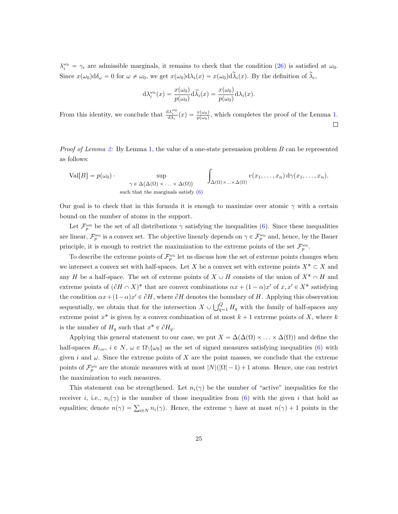$\lambda_i^{\omega_0} = \gamma_i$  are admissible marginals, it remains to check that the condition [\(26\)](#page-23-0) is satisfied at  $\omega_0$ . Since  $x(\omega_0)d\delta_\omega = 0$  for  $\omega \neq \omega_0$ , we get  $x(\omega_0)d\lambda_i(x) = x(\omega_0)d\tilde{\lambda}_i(x)$ . By the definition of  $\tilde{\lambda}_i$ ,

$$
d\lambda_i^{\omega_0}(x) = \frac{x(\omega_0)}{p(\omega_0)} d\tilde{\lambda}_i(x) = \frac{x(\omega_0)}{p(\omega_0)} d\lambda_i(x).
$$

From this identity, we conclude that  $\frac{d\lambda_i^{\omega_0}}{d\lambda_i}(x) = \frac{x(\omega_0)}{p(\omega_0)}$ , which completes the proof of the Lemma [1.](#page-7-2)  $\Box$ 

Proof of Lemma [2:](#page-8-1) By Lemma [1,](#page-7-2) the value of a one-state persuasion problem B can be represented as follows:

$$
\text{Val}[B] = p(\omega_0) \cdot \sup_{\gamma \in \Delta(\Delta(\Omega) \times ... \times \Delta(\Omega))} \int_{\Delta(\Omega) \times ... \times \Delta(\Omega)} v(x_1,...,x_n) d\gamma(x_1,...,x_n).
$$
\nsuch that the marginals satisfy (6)

Our goal is to check that in this formula it is enough to maximize over atomic  $\gamma$  with a certain bound on the number of atoms in the support.

Let  $\mathcal{F}_p^{\omega_0}$  be the set of all distributions  $\gamma$  satisfying the inequalities [\(6\)](#page-7-1). Since these inequalities are linear,  $\mathcal{F}_p^{\omega_0}$  is a convex set. The objective linearly depends on  $\gamma \in \mathcal{F}_p^{\omega_0}$  and, hence, by the Bauer principle, it is enough to restrict the maximization to the extreme points of the set  $\mathcal{F}_{p}^{\omega_{0}}$ .

To describe the extreme points of  $\mathcal{F}_p^{\omega_0}$  let us discuss how the set of extreme points changes when we intersect a convex set with half-spaces. Let X be a convex set with extreme points  $X^* \subset X$  and any H be a half-space. The set of extreme points of  $X \cup H$  consists of the union of  $X^* \cap H$  and extreme points of  $(\partial H \cap X)^*$  that are convex combinations  $\alpha x + (1 - \alpha)x'$  of  $x, x' \in X^*$  satisfying the condition  $\alpha x + (1 - \alpha)x' \in \partial H$ , where  $\partial H$  denotes the boundary of H. Applying this observation sequentially, we obtain that for the intersection  $X \cup \bigcup_{\alpha}^{\alpha}$  $_{q=1}^{Q}$  H<sub>q</sub> with the family of half-spaces any extreme point  $x^*$  is given by a convex combination of at most  $k + 1$  extreme points of X, where k is the number of  $H_q$  such that  $x^* \in \partial H_q$ .

Applying this general statement to our case, we put  $X = \Delta(\Delta(\Omega) \times ... \times \Delta(\Omega))$  and define the half-spaces  $H_{i,\omega}, i \in N, \omega \in \Omega \setminus {\{\omega_0\}}$  as the set of signed measures satisfying inequalities [\(6\)](#page-7-1) with given i and  $\omega$ . Since the extreme points of X are the point masses, we conclude that the extreme points of  $\mathcal{F}_{p}^{\omega_{0}}$  are the atomic measures with at most  $|N|(|\Omega|-1)+1$  atoms. Hence, one can restrict the maximization to such measures.

This statement can be strengthened. Let  $n_i(\gamma)$  be the number of "active" inequalities for the receiver i, i.e.,  $n_i(\gamma)$  is the number of those inequalities from [\(6\)](#page-7-1) with the given i that hold as equalities; denote  $n(\gamma) = \sum_{i \in N} n_i(\gamma)$ . Hence, the extreme  $\gamma$  have at most  $n(\gamma) + 1$  points in the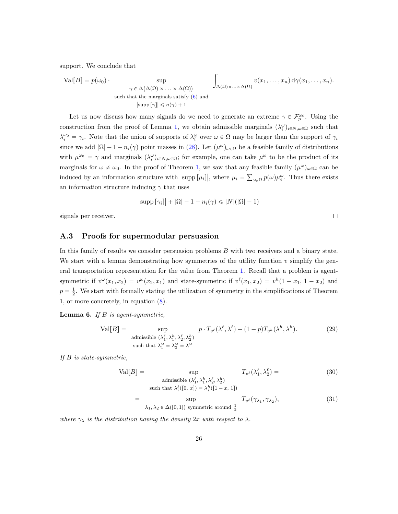support. We conclude that

$$
\text{Val}[B] = p(\omega_0) \cdot \sup_{\gamma \in \Delta(\Delta(\Omega) \times ... \times \Delta(\Omega))} \int_{\Delta(\Omega) \times ... \times \Delta(\Omega)} v(x_1, ..., x_n) d\gamma(x_1, ..., x_n).
$$
\nsuch that the marginals satisfy (6) and

\n
$$
|\text{supp}[\gamma]| \leq n(\gamma) + 1
$$

Let us now discuss how many signals do we need to generate an extreme  $\gamma \in \mathcal{F}_p^{\omega_0}$ . Using the construction from the proof of Lemma [1,](#page-7-2) we obtain admissible marginals  $(\lambda_i^{\omega})_{i \in N, \omega \in \Omega}$  such that  $\lambda_i^{\omega_0} = \gamma_i$ . Note that the union of supports of  $\lambda_i^{\omega}$  over  $\omega \in \Omega$  may be larger than the support of  $\gamma_i$ since we add  $|\Omega| - 1 - n_i(\gamma)$  point masses in [\(28\)](#page-23-2). Let  $(\mu^{\omega})_{\omega \in \Omega}$  be a feasible family of distributions with  $\mu^{\omega_0} = \gamma$  and marginals  $(\lambda_i^{\omega})_{i \in N, \omega \in \Omega}$ ; for example, one can take  $\mu^{\omega}$  to be the product of its marginals for  $\omega \neq \omega_0$ . In the proof of Theorem [1,](#page-5-0) we saw that any feasible family  $(\mu^{\omega})_{\omega \in \Omega}$  can be induced by an information structure with  $|\text{supp }[\mu_i]|$ , where  $\mu_i = \sum_{\omega \in \Omega} p(\omega) \mu_i^{\omega}$ . Thus there exists an information structure inducing  $\gamma$  that uses

$$
\big|\text{supp}\left[\gamma_i\right]\big|+\big|\Omega\big|-1-n_i(\gamma)\leqslant |N|(|\Omega|-1)
$$

signals per receiver.

#### A.3 Proofs for supermodular persuasion

In this family of results we consider persuasion problems B with two receivers and a binary state. We start with a lemma demonstrating how symmetries of the utility function  $v$  simplify the general transportation representation for the value from Theorem [1.](#page-5-0) Recall that a problem is agentsymmetric if  $v^{\omega}(x_1, x_2) = v^{\omega}(x_2, x_1)$  and state-symmetric if  $v^{\ell}(x_1, x_2) = v^h(1 - x_1, 1 - x_2)$  and  $p = \frac{1}{2}$ . We start with formally stating the utilization of symmetry in the simplifications of Theorem 1, or more concretely, in equation [\(8\)](#page-9-1).

<span id="page-25-0"></span>**Lemma 6.** If  $B$  is agent-symmetric,

<span id="page-25-1"></span>
$$
\text{Val}[B] = \sup_{\text{admissible } (\lambda_1^{\ell}, \lambda_1^h, \lambda_2^{\ell}, \lambda_2^h) \text{ such that } \lambda_1^{\omega} = \lambda_2^{\omega} = \lambda^{\omega}} p \cdot T_{v^{\ell}}(\lambda^{\ell}, \lambda^{\ell}) + (1 - p)T_{v^h}(\lambda^h, \lambda^h). \tag{29}
$$

If B is state-symmetric,

$$
\text{Val}[B] = \sup_{\text{admissible } (\lambda_1^{\ell}, \lambda_1^h, \lambda_2^{\ell}, \lambda_2^h)} T_{v^{\ell}}(\lambda_1^{\ell}, \lambda_2^{\ell}) =
$$
\n
$$
\text{such that } \lambda_i^{\ell}([0, x]) = \lambda_i^h([1 - x, 1])
$$
\n(30)

$$
= \sup_{\lambda_1, \lambda_2 \in \Delta([0,1]) \text{ symmetric around } \frac{1}{2}} T_{v^{\ell}}(\gamma_{\lambda_1}, \gamma_{\lambda_2}), \tag{31}
$$

where  $\gamma_{\lambda}$  is the distribution having the density 2x with respect to  $\lambda$ .

<span id="page-25-3"></span><span id="page-25-2"></span> $\Box$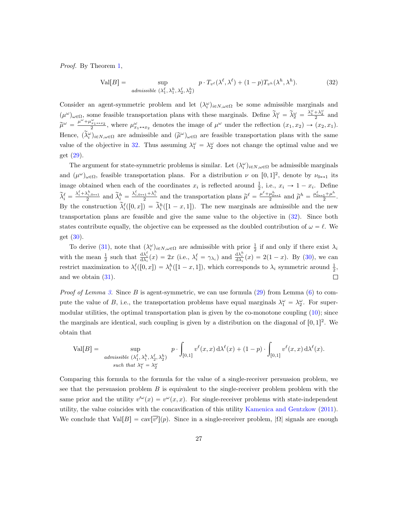Proof. By Theorem [1,](#page-5-0)

<span id="page-26-0"></span>
$$
\text{Val}[B] = \sup_{\text{admissible } (\lambda_1^{\ell}, \lambda_1^h, \lambda_2^{\ell}, \lambda_2^h)} p \cdot T_{v^{\ell}}(\lambda^{\ell}, \lambda^{\ell}) + (1 - p)T_{v^h}(\lambda^h, \lambda^h). \tag{32}
$$

Consider an agent-symmetric problem and let  $(\lambda_i^{\omega})_{i \in N, \omega \in \Omega}$  be some admissible marginals and  $(\mu^{\omega})_{\omega \in \Omega}$  some feasible transportation plans with these marginals. Define  $\tilde{\lambda}_1^{\omega} = \tilde{\lambda}_2^{\omega} = \frac{\lambda_1^{\omega} + \lambda_2^{\omega}}{2}$  and  $\tilde{\mu}^{\omega} = \frac{\mu^{\omega} + \mu^{\omega}_{x_1 \leftrightarrow x_2}}{2}$ , where  $\mu^{\omega}_{x_1 \leftrightarrow x_2}$  denotes the image of  $\mu^{\omega}$  under the reflection  $(x_1, x_2) \rightarrow (x_2, x_1)$ . Hence,  $(\tilde{\lambda}_i^{\omega})_{i \in N, \omega \in \Omega}$  are admissible and  $(\tilde{\mu}^{\omega})_{\omega \in \Omega}$  are feasible transportation plans with the same value of the objective in [32.](#page-26-0) Thus assuming  $\lambda_1^{\omega} = \lambda_2^{\omega}$  does not change the optimal value and we get [\(29\)](#page-25-1).

The argument for state-symmetric problems is similar. Let  $(\lambda_i^{\omega})_{i \in N, \omega \in \Omega}$  be admissible marginals and  $(\mu^{\omega})_{\omega \in \Omega}$ , feasible transportation plans. For a distribution  $\nu$  on  $[0, 1]^2$ , denote by  $\nu_{0 \leftrightarrow 1}$  its image obtained when each of the coordinates  $x_i$  is reflected around  $\frac{1}{2}$ , i.e.,  $x_i \to 1 - x_i$ . Define  $\widetilde{\lambda}_i^{\ell} = \frac{\lambda_i^{\ell} + \lambda_i^h_{i,0 \leftrightarrow 1}}{2}$  and  $\widetilde{\lambda}_i^h = \frac{\lambda_{i,0 \leftrightarrow 1}^{\ell} + \lambda_i^h}{2}$  and the transportation plans  $\widetilde{\mu}^{\ell} = \frac{\mu^{\ell} + \mu_{0 \leftrightarrow 1}^h}{2}$  and  $\widetilde{\mu}^h = \frac{\mu_{0 \leftrightarrow 1}^{\ell} + \mu_i^h}{2}$  $\frac{1+\mu}{2}$ . By the construction  $\tilde{\lambda}_i^{\ell}([0, x]) = \tilde{\lambda}_i^h([1 - x, 1])$ . The new marginals are admissible and the new transportation plans are feasible and give the same value to the objective in [\(32\)](#page-26-0). Since both states contribute equally, the objective can be expressed as the doubled contribution of  $\omega = \ell$ . We get [\(30\)](#page-25-2).

To derive [\(31\)](#page-25-3), note that  $(\lambda_i^{\omega})_{i \in N, \omega \in \Omega}$  are admissible with prior  $\frac{1}{2}$  if and only if there exist  $\lambda_i$ with the mean  $\frac{1}{2}$  such that  $\frac{d\lambda_i^{\ell}}{d\lambda_i}(x) = 2x$  (i.e.,  $\lambda_i^{\ell} = \gamma_{\lambda_i}$ ) and  $\frac{d\lambda_i^{\ell}}{d\lambda_i}(x) = 2(1-x)$ . By [\(30\)](#page-25-2), we can restrict maximization to  $\lambda_i^{\ell}([0, x]) = \lambda_i^h([1 - x, 1])$ , which corresponds to  $\lambda_i$  symmetric around  $\frac{1}{2}$ ,  $\Box$ and we obtain [\(31\)](#page-25-3).

*Proof of Lemma [3.](#page-10-5)* Since B is agent-symmetric, we can use formula  $(29)$  from Lemma  $(6)$  to compute the value of B, i.e., the transportation problems have equal marginals  $\lambda_1^{\omega} = \lambda_2^{\omega}$ . For supermodular utilities, the optimal transportation plan is given by the co-monotone coupling  $(10)$ ; since the marginals are identical, such coupling is given by a distribution on the diagonal of  $[0, 1]^2$ . We obtain that

$$
\text{Val}[B] = \sup_{\substack{\text{admissible } (\lambda_1^{\ell}, \lambda_1^h, \lambda_2^{\ell}, \lambda_2^h) \\ \text{such that } \lambda_1^{\omega} = \lambda_2^{\omega}}} p \cdot \int_{[0,1]} v^{\ell}(x, x) d\lambda^{\ell}(x) + (1-p) \cdot \int_{[0,1]} v^{\ell}(x, x) d\lambda^{\ell}(x).
$$

Comparing this formula to the formula for the value of a single-receiver persuasion problem, we see that the persuasion problem  $B$  is equivalent to the single-receiver problem problem with the same prior and the utility  $v^{\prime\omega}(x) = v^{\omega}(x, x)$ . For single-receiver problems with state-independent utility, the value coincides with the concavification of this utility [Kamenica and Gentzkow](#page-19-0) [\(2011\)](#page-19-0). We conclude that  $Val[B] = \text{cav}[\overline{v'}](p)$ . Since in a single-receiver problem,  $|\Omega|$  signals are enough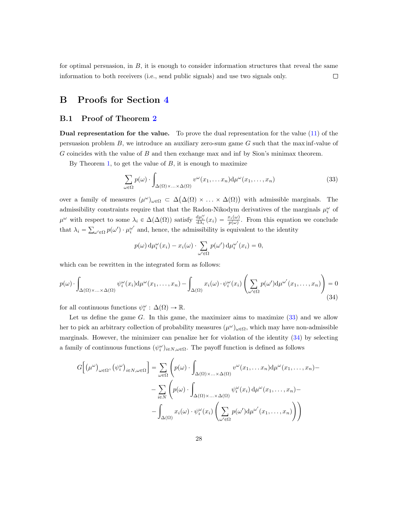for optimal persuasion, in  $B$ , it is enough to consider information structures that reveal the same information to both receivers (i.e., send public signals) and use two signals only. □

## B Proofs for Section [4](#page-11-1)

### <span id="page-27-0"></span>B.1 Proof of Theorem [2](#page-11-0)

Dual representation for the value. To prove the dual representation for the value [\(11\)](#page-11-2) of the persuasion problem  $B$ , we introduce an auxiliary zero-sum game  $G$  such that the max inf-value of G coincides with the value of B and then exchange max and inf by Sion's minimax theorem.

By Theorem [1,](#page-5-0) to get the value of  $B$ , it is enough to maximize

<span id="page-27-1"></span>
$$
\sum_{\omega \in \Omega} p(\omega) \cdot \int_{\Delta(\Omega) \times ... \times \Delta(\Omega)} v^{\omega}(x_1,...,x_n) d\mu^{\omega}(x_1,...,x_n)
$$
 (33)

over a family of measures  $(\mu^{\omega})_{\omega \in \Omega} \subset \Delta(\Delta(\Omega) \times ... \times \Delta(\Omega))$  with admissible marginals. The admissibility constraints require that that the Radon-Nikodym derivatives of the marginals  $\mu_i^{\omega}$  of  $\mu^{\omega}$  with respect to some  $\lambda_i \in \Delta(\Delta(\Omega))$  satisfy  $\frac{d\mu_i^{\omega}}{d\lambda_i}(x_i) = \frac{x_i(\omega)}{p(\omega)}$ . From this equation we conclude that  $\lambda_i =$ ř  $\omega \in \Omega$   $p(\omega') \cdot \mu_i^{\omega'}$  and, hence, the admissibility is equivalent to the identity

$$
p(\omega) d\mu_i^{\omega}(x_i) - x_i(\omega) \cdot \sum_{\omega' \in \Omega} p(\omega') d\mu_i^{\omega'}(x_i) = 0,
$$

which can be rewritten in the integrated form as follows:

<span id="page-27-2"></span>
$$
p(\omega) \cdot \int_{\Delta(\Omega) \times ... \times \Delta(\Omega)} \psi_i^{\omega}(x_i) d\mu^{\omega}(x_1, ..., x_n) - \int_{\Delta(\Omega)} x_i(\omega) \cdot \psi_i^{\omega}(x_i) \left( \sum_{\omega' \in \Omega} p(\omega') d\mu^{\omega'}(x_1, ..., x_n) \right) = 0
$$
\n(34)

for all continuous functions  $\psi_i^{\omega} : \Delta(\Omega) \to \mathbb{R}$ .

Let us define the game  $G$ . In this game, the maximizer aims to maximize  $(33)$  and we allow her to pick an arbitrary collection of probability measures  $(\mu^{\omega})_{\omega \in \Omega}$ , which may have non-admissible marginals. However, the minimizer can penalize her for violation of the identity [\(34\)](#page-27-2) by selecting a family of continuous functions  $(\psi_i^{\omega})_{i \in N, \omega \in \Omega}$ . The payoff function is defined as follows

$$
G\Big[\big(\mu^{\omega}\big)_{\omega\in\Omega},\big(\psi_i^{\omega}\big)_{i\in N,\omega\in\Omega}\Big] = \sum_{\omega\in\Omega}\left(p(\omega)\cdot\int_{\Delta(\Omega)\times\ldots\times\Delta(\Omega)}v^{\omega}(x_1,\ldots,x_n)d\mu^{\omega}(x_1,\ldots,x_n)-\right.-\sum_{i\in N}\left(p(\omega)\cdot\int_{\Delta(\Omega)\times\ldots\times\Delta(\Omega)}\psi_i^{\omega}(x_i)d\mu^{\omega}(x_1,\ldots,x_n)-\right.-\int_{\Delta(\Omega)}x_i(\omega)\cdot\psi_i^{\omega}(x_i)\left(\sum_{\omega'\in\Omega}p(\omega')d\mu^{\omega'}(x_1,\ldots,x_n)\right)\right)
$$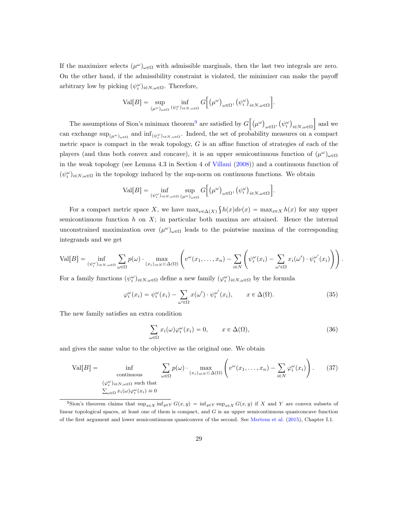If the maximizer selects  $(\mu^{\omega})_{\omega \in \Omega}$  with admissible marginals, then the last two integrals are zero. On the other hand, if the admissibility constraint is violated, the minimizer can make the payoff arbitrary low by picking  $(\psi_i^{\omega})_{i \in N, \omega \in \Omega}$ . Therefore,

$$
\text{Val}[B] = \sup_{(\mu^{\omega})_{\omega \in \Omega}} \inf_{(\psi_i^{\omega})_{i \in N, \omega \in \Omega}} G\Big[\big(\mu^{\omega}\big)_{\omega \in \Omega}, \big(\psi_i^{\omega}\big)_{i \in N, \omega \in \Omega}\Big].
$$

ı

ı

ı

The assumptions of Sion's minimax theorem<sup>[9](#page-28-0)</sup> are satisfied by  $G$  $\mu^{\omega}$  $ω ∈ Ω'$  $\psi_i^{\omega}$  $i\in\!N,\omega\!\in\!\Omega$ and we can exchange  $\sup_{(\mu^{\omega})_{\omega\in\Omega}}$  and  $\inf_{(\psi_i^{\omega})_{i\in N,\omega\in\Omega}}$ . Indeed, the set of probability measures on a compact metric space is compact in the weak topology,  $G$  is an affine function of strategies of each of the players (and thus both convex and concave), it is an upper semicontinuous function of  $(\mu^{\omega})_{\omega \in \Omega}$ in the weak topology (see Lemma 4.3 in Section 4 of [Villani](#page-20-9) [\(2008\)](#page-20-9)) and a continuous function of  $(\psi_i^{\omega})_{i \in N, \omega \in \Omega}$  in the topology induced by the sup-norm on continuous functions. We obtain

$$
\text{Val}[B] = \inf_{(\psi_i^{\omega})_{i \in N, \omega \in \Omega}} \sup_{(\mu^{\omega})_{\omega \in \Omega}} G\Big[\big(\mu^{\omega}\big)_{\omega \in \Omega}, \big(\psi_i^{\omega}\big)_{i \in N, \omega \in \Omega}\Big].
$$

For a compact metric space X, we have  $\max_{\nu \in \Delta(X)} \int h(x) d\nu(x) = \max_{x \in X} h(x)$  for any upper semicontinuous function  $h$  on  $X$ ; in particular both maxima are attained. Hence the internal unconstrained maximization over  $(\mu^{\omega})_{\omega \in \Omega}$  leads to the pointwise maxima of the corresponding integrands and we get

$$
\text{Val}[B] = \inf_{(\psi_i^{\omega})_{i \in N, \omega \in \Omega}} \sum_{\omega \in \Omega} p(\omega) \cdot \max_{(x_i)_{i \in N} \subset \Delta(\Omega)} \left( v^{\omega}(x_1, \dots, x_n) - \sum_{i \in N} \left( \psi_i^{\omega}(x_i) - \sum_{\omega' \in \Omega} x_i(\omega') \cdot \psi_i^{\omega'}(x_i) \right) \right).
$$

For a family functions  $(\psi_i^{\omega})_{i \in N, \omega \in \Omega}$  define a new family  $(\varphi_i^{\omega})_{i \in N, \omega \in \Omega}$  by the formula

$$
\varphi_i^{\omega}(x_i) = \psi_i^{\omega}(x_i) - \sum_{\omega' \in \Omega} x(\omega') \cdot \psi_i^{\omega'}(x_i), \qquad x \in \Delta(\Omega). \tag{35}
$$

The new family satisfies an extra condition

<span id="page-28-2"></span><span id="page-28-1"></span>
$$
\sum_{\omega \in \Omega} x_i(\omega) \varphi_i^{\omega}(x_i) = 0, \qquad x \in \Delta(\Omega), \tag{36}
$$

and gives the same value to the objective as the original one. We obtain

$$
\text{Val}[B] = \inf_{\substack{\text{continuous} \\ (\varphi_i^{\omega})_{i \in N, \omega \in \Omega} \text{ such that} \\ \sum_{\omega \in \Omega} x_i(\omega) \varphi_i^{\omega}(x_i) = 0}} \sum_{\omega \in \Omega} p(\omega) \cdot \max_{(x_i)_{i \in N} \subset \Delta(\Omega)} \left( v^{\omega}(x_1, \dots, x_n) - \sum_{i \in N} \varphi_i^{\omega}(x_i) \right). \tag{37}
$$

<span id="page-28-0"></span><sup>&</sup>lt;sup>9</sup>Sion's theorem claims that  $\sup_{x\in X} \inf_{y\in Y} G(x, y) = \inf_{y\in Y} \sup_{x\in X} G(x, y)$  if X and Y are convex subsets of linear topological spaces, at least one of them is compact, and  $G$  is an upper semicontinuous quasiconcave function of the first argument and lower semicontinuous quasiconvex of the second. See [Mertens et al.](#page-19-15) [\(2015\)](#page-19-15), Chapter I.1.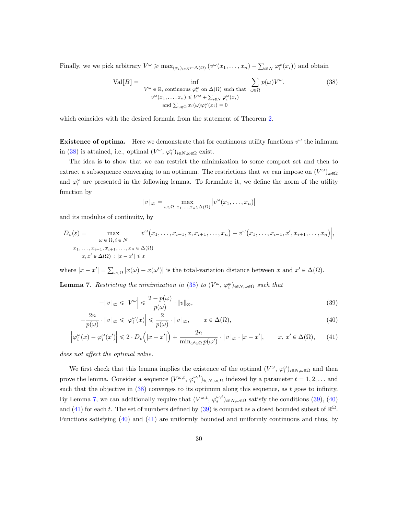Finally, we we pick arbitrary  $V^{\omega} \ge \max_{(x_i)_{i \in N} \subset \Delta(\Omega)} (v^{\omega}(x_1, \ldots, x_n) - \sum_{i \in N} \varphi_i^{\omega}(x_i))$  and obtain

<span id="page-29-1"></span>
$$
\text{Val}[B] = \inf_{\substack{V^{\omega} \in \mathbb{R}, \text{ continuous } \varphi_i^{\omega} \text{ on } \Delta(\Omega) \text{ such that } \sum_{\omega \in \Omega} p(\omega)V^{\omega}. \\ v^{\omega}(x_1, \dots, x_n) \le V^{\omega} + \sum_{i \in N} \varphi_i^{\omega}(x_i) \\ \text{and } \sum_{\omega \in \Omega} x_i(\omega)\varphi_i^{\omega}(x_i) = 0} \tag{38}
$$

which coincides with the desired formula from the statement of Theorem [2.](#page-11-0)

**Existence of optima.** Here we demonstrate that for continuous utility functions  $v^{\omega}$  the infimum in [\(38\)](#page-29-1) is attained, i.e., optimal  $(V^{\omega}, \varphi_i^{\omega})_{i \in N, \omega \in \Omega}$  exist.

The idea is to show that we can restrict the minimization to some compact set and then to extract a subsequence converging to an optimum. The restrictions that we can impose on  $(V^{\omega})_{\omega \in \Omega}$ and  $\varphi_i^{\omega}$  are presented in the following lemma. To formulate it, we define the norm of the utility function by

<span id="page-29-4"></span><span id="page-29-3"></span><span id="page-29-2"></span>
$$
||v||_{\infty} = \max_{\omega \in \Omega, x_1, \dots, x_n \in \Delta(\Omega)} |v^{\omega}(x_1, \dots, x_n)|
$$

and its modulus of continuity, by

$$
D_{v}(\varepsilon) = \max_{\omega \in \Omega, i \in N} \left| v^{\omega}(x_{1}, \ldots, x_{i-1}, x, x_{i+1}, \ldots, x_{n}) - v^{\omega}(x_{1}, \ldots, x_{i-1}, x', x_{i+1}, \ldots, x_{n}) \right|,
$$
  

$$
x_{1}, \ldots, x_{i-1}, x_{i+1}, \ldots, x_{n} \in \Delta(\Omega)
$$
  

$$
x, x' \in \Delta(\Omega) : |x - x'| \le \varepsilon
$$

where  $|x - x'| = \sum_{\omega \in \Omega} |x(\omega) - x(\omega')|$  is the total-variation distance between x and  $x' \in \Delta(\Omega)$ .

<span id="page-29-0"></span>**Lemma 7.** Restricting the minimization in [\(38\)](#page-29-1) to  $(V^{\omega}, \varphi_i^{\omega})_{i \in N, \omega \in \Omega}$  such that

$$
-\|v\|_{\infty} \leqslant \left|V^{\omega}\right| \leqslant \frac{2 - p(\omega)}{p(\omega)} \cdot \|v\|_{\infty},\tag{39}
$$

$$
-\frac{2n}{p(\omega)} \cdot \|v\|_{\infty} \leq \left|\varphi_i^{\omega}(x)\right| \leq \frac{2}{p(\omega)} \cdot \|v\|_{\infty}, \qquad x \in \Delta(\Omega), \tag{40}
$$

$$
\left|\varphi_i^{\omega}(x) - \varphi_i^{\omega}(x')\right| \leq 2 \cdot D_v\left(|x - x'|\right) + \frac{2n}{\min_{\omega' \in \Omega} p(\omega')} \cdot \|v\|_{\infty} \cdot |x - x'|, \qquad x, x' \in \Delta(\Omega), \tag{41}
$$

does not affect the optimal value.

We first check that this lemma implies the existence of the optimal  $(V^{\omega}, \varphi_i^{\omega})_{i \in N, \omega \in \Omega}$  and then prove the lemma. Consider a sequence  $(V^{\omega,t}, \varphi_i^{\omega,t})_{i \in N, \omega \in \Omega}$  indexed by a parameter  $t = 1, 2, \dots$  and such that the objective in  $(38)$  converges to its optimum along this sequence, as t goes to infinity. By Lemma [7,](#page-29-0) we can additionally require that  $(V^{\omega,t}, \varphi_i^{\omega,t})_{i \in N, \omega \in \Omega}$  satisfy the conditions [\(39\)](#page-29-2), [\(40\)](#page-29-3) and [\(41\)](#page-29-4) for each t. The set of numbers defined by [\(39\)](#page-29-2) is compact as a closed bounded subset of  $\mathbb{R}^{\Omega}$ . Functions satisfying [\(40\)](#page-29-3) and [\(41\)](#page-29-4) are uniformly bounded and uniformly continuous and thus, by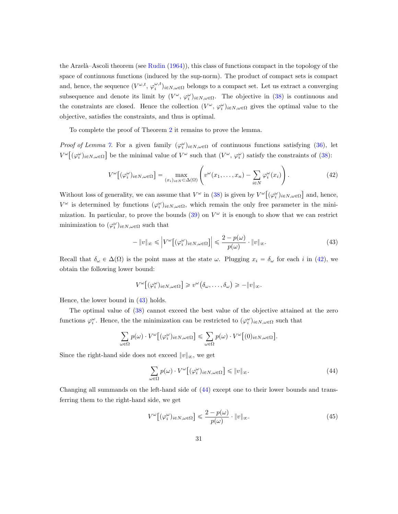the Arzelà–Ascoli theorem (see [Rudin](#page-20-10)  $(1964)$ ), this class of functions compact in the topology of the space of continuous functions (induced by the sup-norm). The product of compact sets is compact and, hence, the sequence  $(V^{\omega,t}, \varphi_i^{\omega,t})_{i \in N, \omega \in \Omega}$  belongs to a compact set. Let us extract a converging subsequence and denote its limit by  $(V^{\omega}, \varphi_i^{\omega})_{i \in N, \omega \in \Omega}$ . The objective in [\(38\)](#page-29-1) is continuous and the constraints are closed. Hence the collection  $(V^{\omega}, \varphi_i^{\omega})_{i \in N, \omega \in \Omega}$  gives the optimal value to the objective, satisfies the constraints, and thus is optimal.

To complete the proof of Theorem [2](#page-11-0) it remains to prove the lemma.

Proof of Lemma [7.](#page-29-0) For a given family  $(\varphi_i^{\omega})_{i \in N, \omega \in \Omega}$  of continuous functions satisfying [\(36\)](#page-28-1), let  $V^{\omega}[(\varphi_i^{\omega})_{i\in N,\omega\in\Omega}]$  be the minimal value of  $V^{\omega}$  such that  $(V^{\omega}, \varphi_i^{\omega})$  satisfy the constraints of  $(38)$ :

<span id="page-30-0"></span>
$$
V^{\omega}\big[(\varphi_i^{\omega})_{i\in N,\omega\in\Omega}\big] = \max_{(x_i)_{i\in N}\subset\Delta(\Omega)} \left(v^{\omega}(x_1,\ldots,x_n) - \sum_{i\in N} \varphi_i^{\omega}(x_i)\right). \tag{42}
$$

Without loss of generality, we can assume that  $V^{\omega}$  in [\(38\)](#page-29-1) is given by  $V^{\omega}$  $(\varphi_i^\omega)_{i \in N, \omega \in \Omega}$ and, hence,  $V^{\omega}$  is determined by functions  $(\varphi_i^{\omega})_{i \in N, \omega \in \Omega}$ , which remain the only free parameter in the minimization. In particular, to prove the bounds  $(39)$  on  $V^{\omega}$  it is enough to show that we can restrict minimization to  $(\varphi_i^{\omega})_{i \in N, \omega \in \Omega}$  such that

<span id="page-30-1"></span>
$$
-\|v\|_{\infty} \leq \left| V^{\omega}\big[ (\varphi_i^{\omega})_{i \in N, \omega \in \Omega} \big] \right| \leq \frac{2 - p(\omega)}{p(\omega)} \cdot \|v\|_{\infty}.
$$
\n(43)

Recall that  $\delta_{\omega} \in \Delta(\Omega)$  is the point mass at the state  $\omega$ . Plugging  $x_i = \delta_{\omega}$  for each i in [\(42\)](#page-30-0), we obtain the following lower bound:

$$
V^{\omega}[(\varphi_i^{\omega})_{i\in N,\omega\in\Omega}] \geq v^{\omega}(\delta_{\omega},\ldots,\delta_{\omega}) \geq -\|v\|_{\infty}.
$$

Hence, the lower bound in [\(43\)](#page-30-1) holds.

The optimal value of [\(38\)](#page-29-1) cannot exceed the best value of the objective attained at the zero functions  $\varphi_i^{\omega}$ . Hence, the the minimization can be restricted to  $(\varphi_i^{\omega})_{i \in N, \omega \in \Omega}$  such that

$$
\sum_{\omega \in \Omega} p(\omega) \cdot V^{\omega} \big[ (\varphi_i^{\omega})_{i \in N, \omega \in \Omega} \big] \leq \sum_{\omega \in \Omega} p(\omega) \cdot V^{\omega} \big[ (0)_{i \in N, \omega \in \Omega} \big].
$$

Since the right-hand side does not exceed  $||v||_{\infty}$ , we get

<span id="page-30-2"></span>
$$
\sum_{\omega \in \Omega} p(\omega) \cdot V^{\omega} \big[ (\varphi_i^{\omega})_{i \in N, \omega \in \Omega} \big] \leq \|v\|_{\infty}.
$$
\n(44)

Changing all summands on the left-hand side of [\(44\)](#page-30-2) except one to their lower bounds and transferring them to the right-hand side, we get

<span id="page-30-3"></span>
$$
V^{\omega}\big[(\varphi_i^{\omega})_{i\in N,\omega\in\Omega}\big] \leqslant \frac{2-p(\omega)}{p(\omega)} \cdot \|v\|_{\infty}.\tag{45}
$$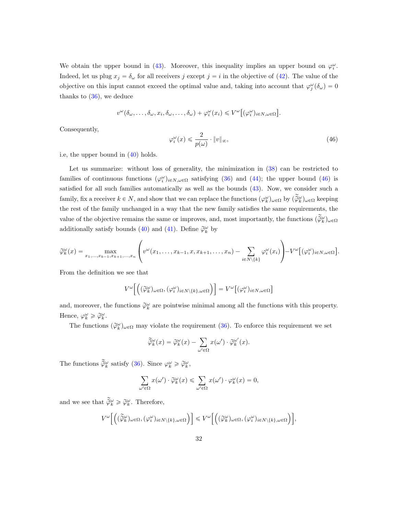We obtain the upper bound in [\(43\)](#page-30-1). Moreover, this inequality implies an upper bound on  $\varphi_i^{\omega}$ . Indeed, let us plug  $x_j = \delta_\omega$  for all receivers j except  $j = i$  in the objective of [\(42\)](#page-30-0). The value of the objective on this input cannot exceed the optimal value and, taking into account that  $\varphi_j^{\omega}(\delta_{\omega})=0$ thanks to  $(36)$ , we deduce

$$
v^{\omega}(\delta_{\omega},\ldots,\delta_{\omega},x_i,\delta_{\omega},\ldots,\delta_{\omega})+\varphi_i^{\omega}(x_i)\leqslant V^{\omega}[(\varphi_i^{\omega})_{i\in N,\omega\in\Omega}].
$$

Consequently,

<span id="page-31-0"></span>
$$
\varphi_i^{\omega}(x) \leq \frac{2}{p(\omega)} \cdot \|v\|_{\infty},\tag{46}
$$

i.e, the upper bound in [\(40\)](#page-29-3) holds.

Let us summarize: without loss of generality, the minimization in  $(38)$  can be restricted to families of continuous functions  $(\varphi_i^{\omega})_{i \in N, \omega \in \Omega}$  satisfying [\(36\)](#page-28-1) and [\(44\)](#page-30-2); the upper bound [\(46\)](#page-31-0) is satisfied for all such families automatically as well as the bounds [\(43\)](#page-30-1). Now, we consider such a family, fix a receiver  $k \in N$ , and show that we can replace the functions  $(\varphi_k^{\omega})_{\omega \in \Omega}$  by  $(\widetilde{\varphi}_k^{\omega})_{\omega \in \Omega}$  keeping the rest of the family unchanged in a way that the new family satisfies the same requirements, the value of the objective remains the same or improves, and, most importantly, the functions  $(\widetilde{\widetilde{\varphi}}_k^{\omega})_{\omega \in \Omega}$ additionally satisfy bounds [\(40\)](#page-29-3) and [\(41\)](#page-29-4). Define  $\tilde{\varphi}_k^{\omega}$  by

$$
\widetilde{\varphi}_k^{\omega}(x) = \max_{x_1,\ldots,x_{k-1},x_{k+1},\ldots,x_n} \left( v^{\omega}(x_1,\ldots,x_{k-1},x,x_{k+1},\ldots,x_n) - \sum_{i \in N \setminus \{k\}} \varphi_i^{\omega}(x_i) \right) - V^{\omega} \big[ (\varphi_i^{\omega})_{i \in N, \omega \in \Omega} \big].
$$

From the definition we see that

$$
V^\omega\Big[\Big((\widetilde{\varphi}^\omega_k)_{\omega\in\Omega},(\varphi^\omega_i)_{i\in N\backslash\{k\},\omega\in\Omega}\Big)\Big]=V^\omega\Big[(\varphi^\omega_i)_{i\in N,\omega\in\Omega}\Big]
$$

and, moreover, the functions  $\widetilde{\varphi}_k^{\omega}$  are pointwise minimal among all the functions with this property. Hence,  $\varphi_k^{\omega} \geq \widetilde{\varphi}_k^{\omega}$ .

The functions  $(\tilde{\varphi}_k^{\omega})_{\omega \in \Omega}$  may violate the requirement [\(36\)](#page-28-1). To enforce this requirement we set

$$
\widetilde{\widetilde{\varphi}}_k^{\omega}(x) = \widetilde{\varphi}_k^{\omega}(x) - \sum_{\omega' \in \Omega} x(\omega') \cdot \widetilde{\varphi}_k^{\omega'}(x).
$$

The functions  $\widetilde{\tilde{\varphi}}_k^{\omega}$  satisfy [\(36\)](#page-28-1). Since  $\varphi_k^{\omega} \geq \widetilde{\varphi}_k^{\omega}$ ,

$$
\sum_{\omega' \in \Omega} x(\omega') \cdot \widetilde{\varphi}_k^{\omega}(x) \le \sum_{\omega' \in \Omega} x(\omega') \cdot \varphi_k^{\omega}(x) = 0,
$$

and we see that  $\widetilde{\tilde{\varphi}}_k^{\omega} \geq \widetilde{\varphi}_k^{\omega}$ . Therefore,

$$
V^\omega\Big[\Big((\widetilde{\varphi}^\omega_k)_{\omega\in\Omega},(\varphi^\omega_i)_{i\in N\setminus\{k\},\omega\in\Omega}\Big)\Big]\leqslant V^\omega\Big[\Big((\widetilde{\varphi}^\omega_k)_{\omega\in\Omega},(\varphi^\omega_i)_{i\in N\setminus\{k\},\omega\in\Omega}\Big)\Big],
$$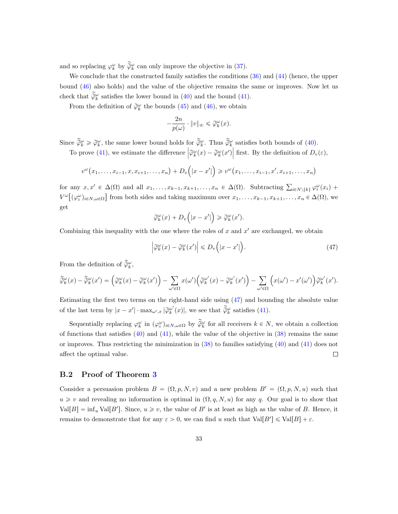and so replacing  $\varphi_k^{\omega}$  by  $\widetilde{\varphi}_k^{\omega}$  can only improve the objective in [\(37\)](#page-28-2).

We conclude that the constructed family satisfies the conditions  $(36)$  and  $(44)$  (hence, the upper bound [\(46\)](#page-31-0) also holds) and the value of the objective remains the same or improves. Now let us check that  $\widetilde{\widetilde{\varphi}}_{k}^{\omega}$  satisfies the lower bound in [\(40\)](#page-29-3) and the bound [\(41\)](#page-29-4).

From the definition of  $\widetilde{\varphi}_{k}^{\omega}$  the bounds [\(45\)](#page-30-3) and [\(46\)](#page-31-0), we obtain

$$
-\frac{2n}{p(\omega)} \cdot \|v\|_{\infty} \leq \widetilde{\varphi}_k^{\omega}(x).
$$

Since  $\widetilde{\widetilde{\varphi}}_k^{\omega} \geq \widetilde{\varphi}_k^{\omega}$ , the same lower bound holds for  $\widetilde{\widetilde{\varphi}}_k^{\omega}$ . Thus  $\widetilde{\widetilde{\varphi}}_k^{\omega}$  satisfies both bounds of [\(40\)](#page-29-3). To prove [\(41\)](#page-29-4), we estimate the difference  $\left| \tilde{\varphi}_{k}^{\omega}(x) - \tilde{\varphi}_{k}^{\omega}(x') \right|$ first. By the definition of  $D_v(\varepsilon)$ ,

$$
v^{\omega}(x_1,...,x_{i-1},x,x_{i+1},...,x_n)+D_v(x-x')\geq v^{\omega}(x_1,...,x_{i-1},x',x_{i+1},...,x_n)
$$

for any  $x, x' \in \Delta(\Omega)$  and all  $x_1, \ldots, x_{k-1}, x_{k+1}, \ldots, x_n \in \Delta(\Omega)$ . Subtracting  $\sum_{i \in N \setminus \{k\}} \varphi_i^{\omega}(x_i)$  +  $V^{\omega}[(\varphi_i^{\omega})_{i\in N,\omega\in\Omega}]$  from both sides and taking maximum over  $x_1,\ldots,x_{k-1},x_{k+1},\ldots,x_n\in\Delta(\Omega)$ , we get

$$
\widetilde{\varphi}_k^{\omega}(x) + D_v(|x - x'|) \geq \widetilde{\varphi}_k^{\omega}(x').
$$

Combining this inequality with the one where the roles of  $x$  and  $x'$  are exchanged, we obtain

<span id="page-32-1"></span>
$$
\left| \widetilde{\varphi}_{k}^{\omega}(x) - \widetilde{\varphi}_{k}^{\omega}(x') \right| \le D_{v}\left( |x - x'| \right). \tag{47}
$$

From the definition of  $\widetilde{\widetilde{\varphi}}_k^{\omega}$ ,

$$
\widetilde{\widetilde{\varphi}}_k^{\omega}(x) - \widetilde{\widetilde{\varphi}}_k^{\omega}(x') = \left(\widetilde{\varphi}_k^{\omega}(x) - \widetilde{\varphi}_k^{\omega}(x')\right) - \sum_{\omega' \in \Omega} x(\omega')\left(\widetilde{\varphi}_k^{\omega'}(x) - \widetilde{\varphi}_k^{\omega'}(x')\right) - \sum_{\omega' \in \Omega} \left(x(\omega') - x'(\omega')\right) \widetilde{\varphi}_k^{\omega'}(x').
$$

Estimating the first two terms on the right-hand side using [\(47\)](#page-32-1) and bounding the absolute value of the last term by  $|x - x'| \cdot \max_{\omega',x} |\widetilde{\varphi}_{k}^{\omega'}(x)|$ , we see that  $\widetilde{\widetilde{\varphi}}_{k}^{\omega}$  satisfies [\(41\)](#page-29-4).

Sequentially replacing  $\varphi_k^{\omega}$  in  $(\varphi_i^{\omega})_{i \in N, \omega \in \Omega}$  by  $\widetilde{\varphi}_k^{\omega}$  for all receivers  $k \in N$ , we obtain a collection of functions that satisfies  $(40)$  and  $(41)$ , while the value of the objective in  $(38)$  remains the same or improves. Thus restricting the minimization in  $(38)$  to families satisfying  $(40)$  and  $(41)$  does not affect the optimal value.  $\Box$ 

### <span id="page-32-0"></span>B.2 Proof of Theorem [3](#page-14-0)

Consider a persuasion problem  $B = (\Omega, p, N, v)$  and a new problem  $B' = (\Omega, p, N, u)$  such that  $u \geq v$  and revealing no information is optimal in  $(\Omega, q, N, u)$  for any q. Our goal is to show that  $Val[B] = inf_u Val[B']$ . Since,  $u \ge v$ , the value of B' is at least as high as the value of B. Hence, it remains to demonstrate that for any  $\varepsilon > 0$ , we can find u such that  $Val[B'] \le Val[B] + \varepsilon$ .